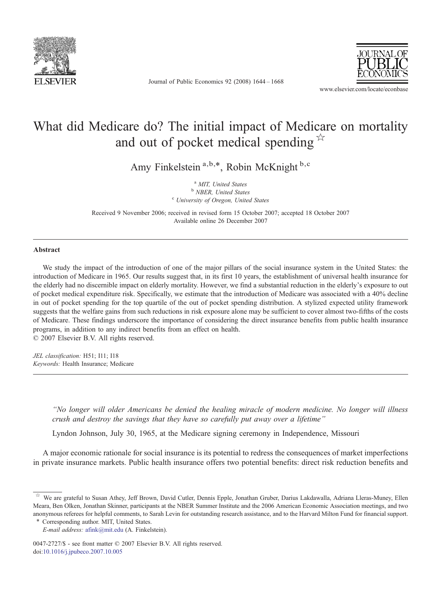

Journal of Public Economics 92 (2008) 1644–1668



www.elsevier.com/locate/econbase

# What did Medicare do? The initial impact of Medicare on mortality and out of pocket medical spending  $\mathbb{R}^{\mathbb{Z}}$

Amy Finkelstein<sup>a,b,\*</sup>, Robin McKnight<sup>b,c</sup>

 $\stackrel{a}{\nu}$  MIT, United States<br>  $\stackrel{b}{\nu}$  NBER, United States <sup>c</sup> University of Oregon, United States

Received 9 November 2006; received in revised form 15 October 2007; accepted 18 October 2007 Available online 26 December 2007

#### Abstract

We study the impact of the introduction of one of the major pillars of the social insurance system in the United States: the introduction of Medicare in 1965. Our results suggest that, in its first 10 years, the establishment of universal health insurance for the elderly had no discernible impact on elderly mortality. However, we find a substantial reduction in the elderly's exposure to out of pocket medical expenditure risk. Specifically, we estimate that the introduction of Medicare was associated with a 40% decline in out of pocket spending for the top quartile of the out of pocket spending distribution. A stylized expected utility framework suggests that the welfare gains from such reductions in risk exposure alone may be sufficient to cover almost two-fifths of the costs of Medicare. These findings underscore the importance of considering the direct insurance benefits from public health insurance programs, in addition to any indirect benefits from an effect on health. © 2007 Elsevier B.V. All rights reserved.

JEL classification: H51; I11; I18 Keywords: Health Insurance; Medicare

> "No longer will older Americans be denied the healing miracle of modern medicine. No longer will illness crush and destroy the savings that they have so carefully put away over a lifetime"

Lyndon Johnson, July 30, 1965, at the Medicare signing ceremony in Independence, Missouri

A major economic rationale for social insurance is its potential to redress the consequences of market imperfections in private insurance markets. Public health insurance offers two potential benefits: direct risk reduction benefits and

We are grateful to Susan Athey, Jeff Brown, David Cutler, Dennis Epple, Jonathan Gruber, Darius Lakdawalla, Adriana Lleras-Muney, Ellen Meara, Ben Olken, Jonathan Skinner, participants at the NBER Summer Institute and the 2006 American Economic Association meetings, and two anonymous referees for helpful comments, to Sarah Levin for outstanding research assistance, and to the Harvard Milton Fund for financial support.

<sup>⁎</sup> Corresponding author. MIT, United States.

E-mail address: [afink@mit.edu](mailto:afink@mit.edu) (A. Finkelstein).

<sup>0047-2727/\$ -</sup> see front matter © 2007 Elsevier B.V. All rights reserved. doi[:10.1016/j.jpubeco.2007.10.005](http://dx.doi.org/10.1016/j.jpubeco.2007.10.005)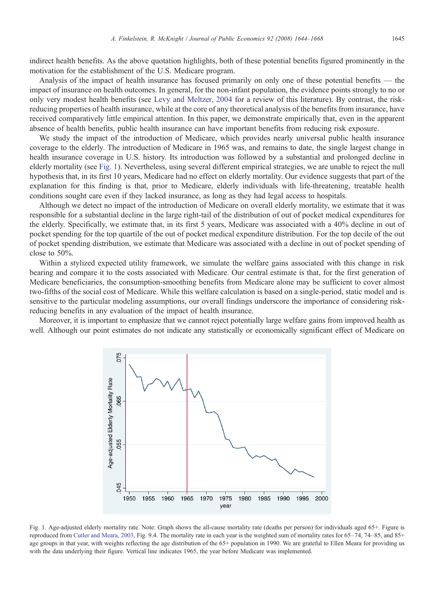<span id="page-1-0"></span>indirect health benefits. As the above quotation highlights, both of these potential benefits figured prominently in the motivation for the establishment of the U.S. Medicare program.

Analysis of the impact of health insurance has focused primarily on only one of these potential benefits — the impact of insurance on health outcomes. In general, for the non-infant population, the evidence points strongly to no or only very modest health benefits (see [Levy and Meltzer, 2004](#page-24-0) for a review of this literature). By contrast, the riskreducing properties of health insurance, while at the core of any theoretical analysis of the benefits from insurance, have received comparatively little empirical attention. In this paper, we demonstrate empirically that, even in the apparent absence of health benefits, public health insurance can have important benefits from reducing risk exposure.

We study the impact of the introduction of Medicare, which provides nearly universal public health insurance coverage to the elderly. The introduction of Medicare in 1965 was, and remains to date, the single largest change in health insurance coverage in U.S. history. Its introduction was followed by a substantial and prolonged decline in elderly mortality (see Fig. 1). Nevertheless, using several different empirical strategies, we are unable to reject the null hypothesis that, in its first 10 years, Medicare had no effect on elderly mortality. Our evidence suggests that part of the explanation for this finding is that, prior to Medicare, elderly individuals with life-threatening, treatable health conditions sought care even if they lacked insurance, as long as they had legal access to hospitals.

Although we detect no impact of the introduction of Medicare on overall elderly mortality, we estimate that it was responsible for a substantial decline in the large right-tail of the distribution of out of pocket medical expenditures for the elderly. Specifically, we estimate that, in its first 5 years, Medicare was associated with a 40% decline in out of pocket spending for the top quartile of the out of pocket medical expenditure distribution. For the top decile of the out of pocket spending distribution, we estimate that Medicare was associated with a decline in out of pocket spending of close to 50%.

Within a stylized expected utility framework, we simulate the welfare gains associated with this change in risk bearing and compare it to the costs associated with Medicare. Our central estimate is that, for the first generation of Medicare beneficiaries, the consumption-smoothing benefits from Medicare alone may be sufficient to cover almost two-fifths of the social cost of Medicare. While this welfare calculation is based on a single-period, static model and is sensitive to the particular modeling assumptions, our overall findings underscore the importance of considering riskreducing benefits in any evaluation of the impact of health insurance.

Moreover, it is important to emphasize that we cannot reject potentially large welfare gains from improved health as well. Although our point estimates do not indicate any statistically or economically significant effect of Medicare on



Fig. 1. Age-adjusted elderly mortality rate. Note: Graph shows the all-cause mortality rate (deaths per person) for individuals aged 65+. Figure is reproduced from [Cutler and Meara, 2003](#page-24-0), Fig. 9.4. The mortality rate in each year is the weighted sum of mortality rates for 65–74, 74–85, and 85+ age groups in that year, with weights reflecting the age distribution of the 65+ population in 1990. We are grateful to Ellen Meara for providing us with the data underlying their figure. Vertical line indicates 1965, the year before Medicare was implemented.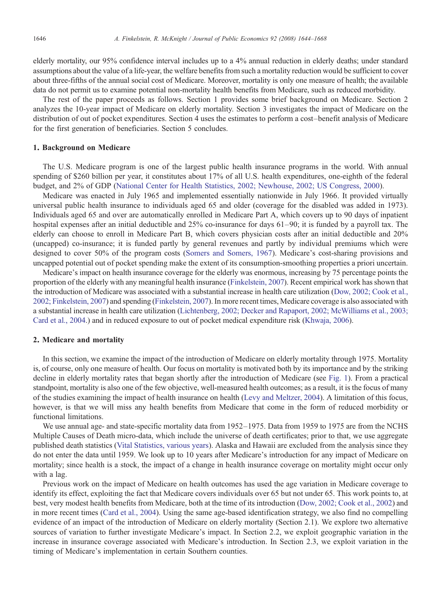elderly mortality, our 95% confidence interval includes up to a 4% annual reduction in elderly deaths; under standard assumptions about the value of a life-year, the welfare benefits from such a mortality reduction would be sufficient to cover about three-fifths of the annual social cost of Medicare. Moreover, mortality is only one measure of health; the available data do not permit us to examine potential non-mortality health benefits from Medicare, such as reduced morbidity.

The rest of the paper proceeds as follows. Section 1 provides some brief background on Medicare. Section 2 analyzes the 10-year impact of Medicare on elderly mortality. Section 3 investigates the impact of Medicare on the distribution of out of pocket expenditures. Section 4 uses the estimates to perform a cost–benefit analysis of Medicare for the first generation of beneficiaries. Section 5 concludes.

# 1. Background on Medicare

The U.S. Medicare program is one of the largest public health insurance programs in the world. With annual spending of \$260 billion per year, it constitutes about 17% of all U.S. health expenditures, one-eighth of the federal budget, and 2% of GDP [\(National Center for Health Statistics, 2002; Newhouse, 2002; US Congress, 2000](#page-24-0)).

Medicare was enacted in July 1965 and implemented essentially nationwide in July 1966. It provided virtually universal public health insurance to individuals aged 65 and older (coverage for the disabled was added in 1973). Individuals aged 65 and over are automatically enrolled in Medicare Part A, which covers up to 90 days of inpatient hospital expenses after an initial deductible and 25% co-insurance for days 61–90; it is funded by a payroll tax. The elderly can choose to enroll in Medicare Part B, which covers physician costs after an initial deductible and 20% (uncapped) co-insurance; it is funded partly by general revenues and partly by individual premiums which were designed to cover 50% of the program costs [\(Somers and Somers, 1967](#page-24-0)). Medicare's cost-sharing provisions and uncapped potential out of pocket spending make the extent of its consumption-smoothing properties a priori uncertain.

Medicare's impact on health insurance coverage for the elderly was enormous, increasing by 75 percentage points the proportion of the elderly with any meaningful health insurance [\(Finkelstein, 2007](#page-24-0)). Recent empirical work has shown that the introduction of Medicare was associated with a substantial increase in health care utilization [\(Dow, 2002; Cook et al.,](#page-24-0) [2002; Finkelstein, 2007\)](#page-24-0) and spending ([Finkelstein, 2007](#page-24-0)). In more recent times, Medicare coverage is also associated with a substantial increase in health care utilization ([Lichtenberg, 2002; Decker and Rapaport, 2002; McWilliams et al., 2003;](#page-24-0) [Card et al., 2004](#page-24-0).) and in reduced exposure to out of pocket medical expenditure risk [\(Khwaja, 2006](#page-24-0)).

#### 2. Medicare and mortality

In this section, we examine the impact of the introduction of Medicare on elderly mortality through 1975. Mortality is, of course, only one measure of health. Our focus on mortality is motivated both by its importance and by the striking decline in elderly mortality rates that began shortly after the introduction of Medicare (see [Fig. 1\)](#page-1-0). From a practical standpoint, mortality is also one of the few objective, well-measured health outcomes; as a result, it is the focus of many of the studies examining the impact of health insurance on health [\(Levy and Meltzer, 2004\)](#page-24-0). A limitation of this focus, however, is that we will miss any health benefits from Medicare that come in the form of reduced morbidity or functional limitations.

We use annual age- and state-specific mortality data from 1952–1975. Data from 1959 to 1975 are from the NCHS Multiple Causes of Death micro-data, which include the universe of death certificates; prior to that, we use aggregate published death statistics [\(Vital Statistics, various years](#page-24-0)). Alaska and Hawaii are excluded from the analysis since they do not enter the data until 1959. We look up to 10 years after Medicare's introduction for any impact of Medicare on mortality; since health is a stock, the impact of a change in health insurance coverage on mortality might occur only with a lag.

Previous work on the impact of Medicare on health outcomes has used the age variation in Medicare coverage to identify its effect, exploiting the fact that Medicare covers individuals over 65 but not under 65. This work points to, at best, very modest health benefits from Medicare, both at the time of its introduction ([Dow, 2002; Cook et al., 2002\)](#page-24-0) and in more recent times [\(Card et al., 2004](#page-23-0)). Using the same age-based identification strategy, we also find no compelling evidence of an impact of the introduction of Medicare on elderly mortality (Section 2.1). We explore two alternative sources of variation to further investigate Medicare's impact. In Section 2.2, we exploit geographic variation in the increase in insurance coverage associated with Medicare's introduction. In Section 2.3, we exploit variation in the timing of Medicare's implementation in certain Southern counties.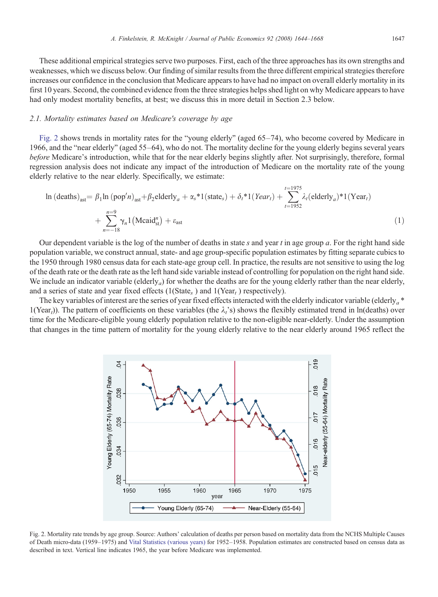These additional empirical strategies serve two purposes. First, each of the three approaches has its own strengths and weaknesses, which we discuss below. Our finding of similar results from the three different empirical strategies therefore increases our confidence in the conclusion that Medicare appears to have had no impact on overall elderly mortality in its first 10 years. Second, the combined evidence from the three strategies helps shed light on why Medicare appears to have had only modest mortality benefits, at best; we discuss this in more detail in Section 2.3 below.

#### 2.1. Mortality estimates based on Medicare's coverage by age

Fig. 2 shows trends in mortality rates for the "young elderly" (aged 65–74), who become covered by Medicare in 1966, and the "near elderly" (aged 55–64), who do not. The mortality decline for the young elderly begins several years before Medicare's introduction, while that for the near elderly begins slightly after. Not surprisingly, therefore, formal regression analysis does not indicate any impact of the introduction of Medicare on the mortality rate of the young elderly relative to the near elderly. Specifically, we estimate:

$$
\ln \left(\text{deaths}\right)_{\text{ast}} = \beta_1 \ln \left(\text{pop}'n\right)_{\text{ast}} + \beta_2 \text{elderly}_a + \alpha_s * 1(\text{state}_s) + \delta_t * 1\left(\text{Year}_t\right) + \sum_{t=1952}^{t=1975} \lambda_t \left(\text{elderly}_a\right) * 1\left(\text{Year}_t\right) + \sum_{n=-18}^{n=9} \gamma_n 1\left(\text{Meaid}_\text{st}^n\right) + \varepsilon_{\text{ast}} \tag{1}
$$

Our dependent variable is the log of the number of deaths in state s and year t in age group a. For the right hand side population variable, we construct annual, state- and age group-specific population estimates by fitting separate cubics to the 1950 through 1980 census data for each state-age group cell. In practice, the results are not sensitive to using the log of the death rate or the death rate as the left hand side variable instead of controlling for population on the right hand side. We include an indicator variable (elderly<sub>a</sub>) for whether the deaths are for the young elderly rather than the near elderly, and a series of state and year fixed effects  $(1(\text{State}_s)$  and  $1(\text{Year}_t)$  respectively).

The key variables of interest are the series of year fixed effects interacted with the elderly indicator variable (elderly<sub>a</sub>  $*$ 1(Year<sub>t</sub>)). The pattern of coefficients on these variables (the  $\lambda_t$ 's) shows the flexibly estimated trend in ln(deaths) over time for the Medicare-eligible young elderly population relative to the non-eligible near-elderly. Under the assumption that changes in the time pattern of mortality for the young elderly relative to the near elderly around 1965 reflect the



Fig. 2. Mortality rate trends by age group. Source: Authors' calculation of deaths per person based on mortality data from the NCHS Multiple Causes of Death micro-data (1959–1975) and [Vital Statistics \(various years\)](#page-24-0) for 1952–1958. Population estimates are constructed based on census data as described in text. Vertical line indicates 1965, the year before Medicare was implemented.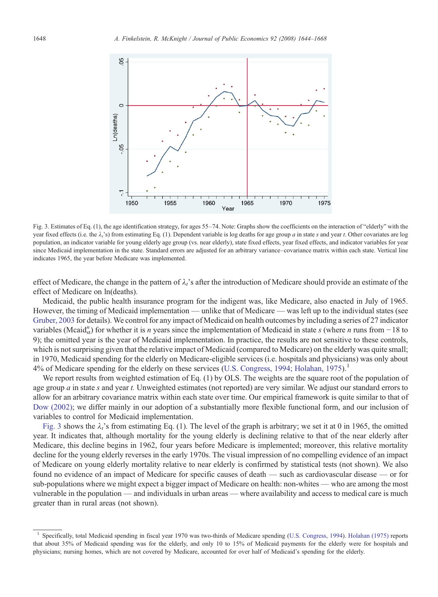<span id="page-4-0"></span>

Fig. 3. Estimates of Eq. (1), the age identification strategy, for ages 55–74. Note: Graphs show the coefficients on the interaction of "elderly" with the year fixed effects (i.e. the  $\lambda_i$ 's) from estimating Eq. (1). Dependent variable is log deaths for age group a in state s and year t. Other covariates are log population, an indicator variable for young elderly age group (vs. near elderly), state fixed effects, year fixed effects, and indicator variables for year since Medicaid implementation in the state. Standard errors are adjusted for an arbitrary variance–covariance matrix within each state. Vertical line indicates 1965, the year before Medicare was implemented.

effect of Medicare, the change in the pattern of  $\lambda_i$ 's after the introduction of Medicare should provide an estimate of the effect of Medicare on ln(deaths).

Medicaid, the public health insurance program for the indigent was, like Medicare, also enacted in July of 1965. However, the timing of Medicaid implementation — unlike that of Medicare — was left up to the individual states (see [Gruber, 2003](#page-24-0) for details). We control for any impact of Medicaid on health outcomes by including a series of 27 indicator variables (Mcaid<sup>n</sup><sub>st</sub>) for whether it is n years since the implementation of Medicaid in state s (where n runs from −18 to 9); the omitted year is the year of Medicaid implementation. In practice, the results are not sensitive to these controls, which is not surprising given that the relative impact of Medicaid (compared to Medicare) on the elderly was quite small; in 1970, Medicaid spending for the elderly on Medicare-eligible services (i.e. hospitals and physicians) was only about 4% of Medicare spending for the elderly on these services ([U.S. Congress, 1994; Holahan, 1975](#page-24-0)).<sup>1</sup>

We report results from weighted estimation of Eq. (1) by OLS. The weights are the square root of the population of age group  $a$  in state  $s$  and year  $t$ . Unweighted estimates (not reported) are very similar. We adjust our standard errors to allow for an arbitrary covariance matrix within each state over time. Our empirical framework is quite similar to that of [Dow \(2002\);](#page-24-0) we differ mainly in our adoption of a substantially more flexible functional form, and our inclusion of variables to control for Medicaid implementation.

Fig. 3 shows the  $\lambda_i$ 's from estimating Eq. (1). The level of the graph is arbitrary; we set it at 0 in 1965, the omitted year. It indicates that, although mortality for the young elderly is declining relative to that of the near elderly after Medicare, this decline begins in 1962, four years before Medicare is implemented; moreover, this relative mortality decline for the young elderly reverses in the early 1970s. The visual impression of no compelling evidence of an impact of Medicare on young elderly mortality relative to near elderly is confirmed by statistical tests (not shown). We also found no evidence of an impact of Medicare for specific causes of death — such as cardiovascular disease — or for sub-populations where we might expect a bigger impact of Medicare on health: non-whites — who are among the most vulnerable in the population — and individuals in urban areas — where availability and access to medical care is much greater than in rural areas (not shown).

<sup>1</sup> Specifically, total Medicaid spending in fiscal year 1970 was two-thirds of Medicare spending ([U.S. Congress, 1994\)](#page-24-0). [Holahan \(1975\)](#page-24-0) reports that about 35% of Medicaid spending was for the elderly, and only 10 to 15% of Medicaid payments for the elderly were for hospitals and physicians; nursing homes, which are not covered by Medicare, accounted for over half of Medicaid's spending for the elderly.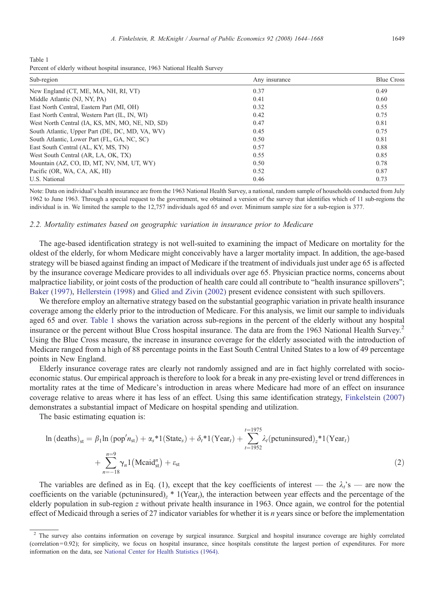Table 1 Percent of elderly without hospital insurance, 1963 National Health Survey

| Sub-region                                      | Any insurance | <b>Blue Cross</b> |  |
|-------------------------------------------------|---------------|-------------------|--|
| New England (CT, ME, MA, NH, RI, VT)            | 0.37          | 0.49              |  |
| Middle Atlantic (NJ, NY, PA)                    | 0.41          | 0.60              |  |
| East North Central, Eastern Part (MI, OH)       | 0.32          | 0.55              |  |
| East North Central, Western Part (IL, IN, WI)   | 0.42          | 0.75              |  |
| West North Central (IA, KS, MN, MO, NE, ND, SD) | 0.47          | 0.81              |  |
| South Atlantic, Upper Part (DE, DC, MD, VA, WV) | 0.45          | 0.75              |  |
| South Atlantic, Lower Part (FL, GA, NC, SC)     | 0.50          | 0.81              |  |
| East South Central (AL, KY, MS, TN)             | 0.57          | 0.88              |  |
| West South Central (AR, LA, OK, TX)             | 0.55          | 0.85              |  |
| Mountain (AZ, CO, ID, MT, NV, NM, UT, WY)       | 0.50          | 0.78              |  |
| Pacific (OR, WA, CA, AK, HI)                    | 0.52          | 0.87              |  |
| <b>U.S. National</b>                            | 0.46          | 0.73              |  |

Note: Data on individual's health insurance are from the 1963 National Health Survey, a national, random sample of households conducted from July 1962 to June 1963. Through a special request to the government, we obtained a version of the survey that identifies which of 11 sub-regions the individual is in. We limited the sample to the 12,757 individuals aged 65 and over. Minimum sample size for a sub-region is 377.

#### 2.2. Mortality estimates based on geographic variation in insurance prior to Medicare

The age-based identification strategy is not well-suited to examining the impact of Medicare on mortality for the oldest of the elderly, for whom Medicare might conceivably have a larger mortality impact. In addition, the age-based strategy will be biased against finding an impact of Medicare if the treatment of individuals just under age 65 is affected by the insurance coverage Medicare provides to all individuals over age 65. Physician practice norms, concerns about malpractice liability, or joint costs of the production of health care could all contribute to "health insurance spillovers"; [Baker \(1997\),](#page-23-0) [Hellerstein \(1998\)](#page-24-0) and [Glied and Zivin \(2002\)](#page-24-0) present evidence consistent with such spillovers.

We therefore employ an alternative strategy based on the substantial geographic variation in private health insurance coverage among the elderly prior to the introduction of Medicare. For this analysis, we limit our sample to individuals aged 65 and over. Table 1 shows the variation across sub-regions in the percent of the elderly without any hospital insurance or the percent without Blue Cross hospital insurance. The data are from the 1963 National Health Survey.<sup>2</sup> Using the Blue Cross measure, the increase in insurance coverage for the elderly associated with the introduction of Medicare ranged from a high of 88 percentage points in the East South Central United States to a low of 49 percentage points in New England.

Elderly insurance coverage rates are clearly not randomly assigned and are in fact highly correlated with socioeconomic status. Our empirical approach is therefore to look for a break in any pre-existing level or trend differences in mortality rates at the time of Medicare's introduction in areas where Medicare had more of an effect on insurance coverage relative to areas where it has less of an effect. Using this same identification strategy, [Finkelstein \(2007\)](#page-24-0) demonstrates a substantial impact of Medicare on hospital spending and utilization.

The basic estimating equation is:

$$
\ln\left(\text{deaths}\right)_{\text{st}} = \beta_1 \ln\left(\text{pop}'n_{\text{st}}\right) + \alpha_s * 1(\text{State}_s) + \delta_t * 1(\text{Year}_t) + \sum_{t=1952}^{t=1975} \lambda_t \left(\text{petuninsured}\right)_z * 1(\text{Year}_t) + \sum_{n=-18}^{n=9} \gamma_n 1\left(\text{Meaid}_\text{st}^n\right) + \varepsilon_{\text{st}} \tag{2}
$$

The variables are defined as in Eq. (1), except that the key coefficients of interest — the  $\lambda_i$ 's — are now the coefficients on the variable (pctuninsured)<sub>z</sub> \* 1(Year<sub>t</sub>), the interaction between year effects and the percentage of the elderly population in sub-region z without private health insurance in 1963. Once again, we control for the potential effect of Medicaid through a series of 27 indicator variables for whether it is n years since or before the implementation

<sup>&</sup>lt;sup>2</sup> The survey also contains information on coverage by surgical insurance. Surgical and hospital insurance coverage are highly correlated (correlation = 0.92); for simplicity, we focus on hospital insurance, since hospitals constitute the largest portion of expenditures. For more information on the data, see [National Center for Health Statistics \(1964\)](#page-24-0).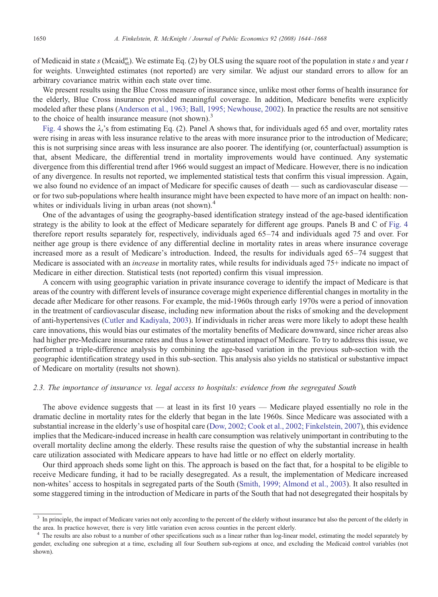of Medicaid in state  $s$  (Mcaid<sup>n</sup><sub>st</sub>). We estimate Eq. (2) by OLS using the square root of the population in state  $s$  and year  $t$ for weights. Unweighted estimates (not reported) are very similar. We adjust our standard errors to allow for an arbitrary covariance matrix within each state over time.

We present results using the Blue Cross measure of insurance since, unlike most other forms of health insurance for the elderly, Blue Cross insurance provided meaningful coverage. In addition, Medicare benefits were explicitly modeled after these plans ([Anderson et al., 1963; Ball, 1995; Newhouse, 2002](#page-23-0)). In practice the results are not sensitive to the choice of health insurance measure (not shown).<sup>3</sup>

[Fig. 4](#page-7-0) shows the  $\lambda_i$ 's from estimating Eq. (2). Panel A shows that, for individuals aged 65 and over, mortality rates were rising in areas with less insurance relative to the areas with more insurance prior to the introduction of Medicare; this is not surprising since areas with less insurance are also poorer. The identifying (or, counterfactual) assumption is that, absent Medicare, the differential trend in mortality improvements would have continued. Any systematic divergence from this differential trend after 1966 would suggest an impact of Medicare. However, there is no indication of any divergence. In results not reported, we implemented statistical tests that confirm this visual impression. Again, we also found no evidence of an impact of Medicare for specific causes of death — such as cardiovascular disease or for two sub-populations where health insurance might have been expected to have more of an impact on health: nonwhites or individuals living in urban areas (not shown).<sup>4</sup>

One of the advantages of using the geography-based identification strategy instead of the age-based identification strategy is the ability to look at the effect of Medicare separately for different age groups. Panels B and C of [Fig. 4](#page-7-0) therefore report results separately for, respectively, individuals aged 65–74 and individuals aged 75 and over. For neither age group is there evidence of any differential decline in mortality rates in areas where insurance coverage increased more as a result of Medicare's introduction. Indeed, the results for individuals aged 65–74 suggest that Medicare is associated with an *increase* in mortality rates, while results for individuals aged 75+ indicate no impact of Medicare in either direction. Statistical tests (not reported) confirm this visual impression.

A concern with using geographic variation in private insurance coverage to identify the impact of Medicare is that areas of the country with different levels of insurance coverage might experience differential changes in mortality in the decade after Medicare for other reasons. For example, the mid-1960s through early 1970s were a period of innovation in the treatment of cardiovascular disease, including new information about the risks of smoking and the development of anti-hypertensives ([Cutler and Kadiyala, 2003\)](#page-24-0). If individuals in richer areas were more likely to adopt these health care innovations, this would bias our estimates of the mortality benefits of Medicare downward, since richer areas also had higher pre-Medicare insurance rates and thus a lower estimated impact of Medicare. To try to address this issue, we performed a triple-difference analysis by combining the age-based variation in the previous sub-section with the geographic identification strategy used in this sub-section. This analysis also yields no statistical or substantive impact of Medicare on mortality (results not shown).

#### 2.3. The importance of insurance vs. legal access to hospitals: evidence from the segregated South

The above evidence suggests that — at least in its first 10 years — Medicare played essentially no role in the dramatic decline in mortality rates for the elderly that began in the late 1960s. Since Medicare was associated with a substantial increase in the elderly's use of hospital care [\(Dow, 2002; Cook et al., 2002; Finkelstein, 2007](#page-24-0)), this evidence implies that the Medicare-induced increase in health care consumption was relatively unimportant in contributing to the overall mortality decline among the elderly. These results raise the question of why the substantial increase in health care utilization associated with Medicare appears to have had little or no effect on elderly mortality.

Our third approach sheds some light on this. The approach is based on the fact that, for a hospital to be eligible to receive Medicare funding, it had to be racially desegregated. As a result, the implementation of Medicare increased non-whites' access to hospitals in segregated parts of the South ([Smith, 1999; Almond et al., 2003\)](#page-24-0). It also resulted in some staggered timing in the introduction of Medicare in parts of the South that had not desegregated their hospitals by

<sup>&</sup>lt;sup>3</sup> In principle, the impact of Medicare varies not only according to the percent of the elderly without insurance but also the percent of the elderly in the area. In practice however, there is very little variation even across counties in the percent elderly.

<sup>&</sup>lt;sup>4</sup> The results are also robust to a number of other specifications such as a linear rather than log-linear model, estimating the model separately by gender, excluding one subregion at a time, excluding all four Southern sub-regions at once, and excluding the Medicaid control variables (not shown).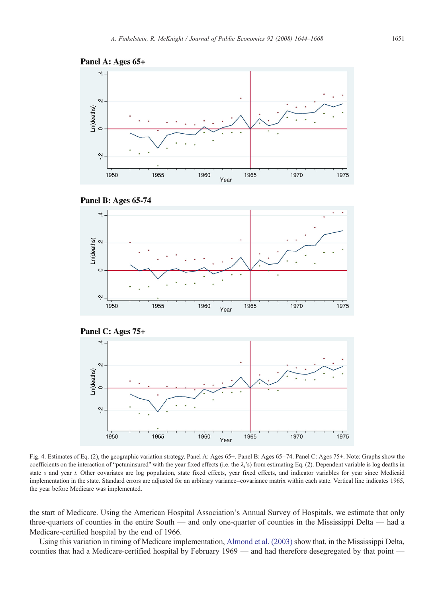

<span id="page-7-0"></span>



Fig. 4. Estimates of Eq. (2), the geographic variation strategy. Panel A: Ages 65+. Panel B: Ages 65-74. Panel C: Ages 75+. Note: Graphs show the coefficients on the interaction of "pctuninsured" with the year fixed effects (i.e. the  $\lambda_t$ 's) from estimating Eq. (2). Dependent variable is log deaths in state s and year t. Other covariates are log population, state fixed effects, year fixed effects, and indicator variables for year since Medicaid implementation in the state. Standard errors are adjusted for an arbitrary variance–covariance matrix within each state. Vertical line indicates 1965, the year before Medicare was implemented.

the start of Medicare. Using the American Hospital Association's Annual Survey of Hospitals, we estimate that only three-quarters of counties in the entire South — and only one-quarter of counties in the Mississippi Delta — had a Medicare-certified hospital by the end of 1966.

Using this variation in timing of Medicare implementation, [Almond et al. \(2003\)](#page-23-0) show that, in the Mississippi Delta, counties that had a Medicare-certified hospital by February 1969 — and had therefore desegregated by that point —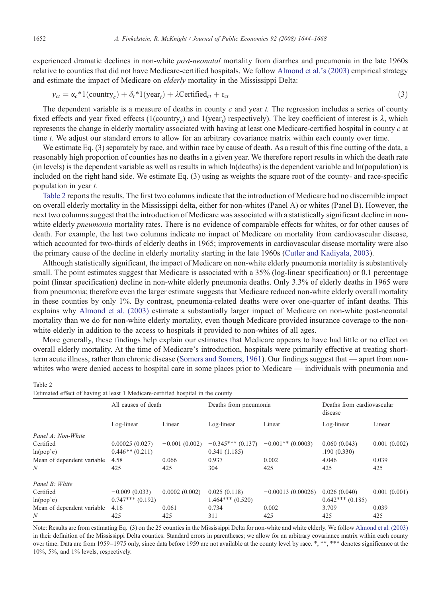experienced dramatic declines in non-white *post-neonatal* mortality from diarrhea and pneumonia in the late 1960s relative to counties that did not have Medicare-certified hospitals. We follow [Almond et al.'s \(2003\)](#page-23-0) empirical strategy and estimate the impact of Medicare on elderly mortality in the Mississippi Delta:

$$
y_{ct} = \alpha_c * 1(\text{country}_c) + \delta_t * 1(\text{year}_t) + \lambda \text{Certified}_{ct} + \varepsilon_{ct}
$$
\n(3)

The dependent variable is a measure of deaths in county  $c$  and year t. The regression includes a series of county fixed effects and year fixed effects (1(country<sub>c</sub>) and 1(year<sub>t</sub>) respectively). The key coefficient of interest is  $\lambda$ , which represents the change in elderly mortality associated with having at least one Medicare-certified hospital in county c at time t. We adjust our standard errors to allow for an arbitrary covariance matrix within each county over time.

We estimate Eq. (3) separately by race, and within race by cause of death. As a result of this fine cutting of the data, a reasonably high proportion of counties has no deaths in a given year. We therefore report results in which the death rate (in levels) is the dependent variable as well as results in which ln(deaths) is the dependent variable and ln(population) is included on the right hand side. We estimate Eq. (3) using as weights the square root of the county- and race-specific population in year t.

Table 2 reports the results. The first two columns indicate that the introduction of Medicare had no discernible impact on overall elderly mortality in the Mississippi delta, either for non-whites (Panel A) or whites (Panel B). However, the next two columns suggest that the introduction of Medicare was associated with a statistically significant decline in nonwhite elderly *pneumonia* mortality rates. There is no evidence of comparable effects for whites, or for other causes of death. For example, the last two columns indicate no impact of Medicare on mortality from cardiovascular disease, which accounted for two-thirds of elderly deaths in 1965; improvements in cardiovascular disease mortality were also the primary cause of the decline in elderly mortality starting in the late 1960s [\(Cutler and Kadiyala, 2003\)](#page-24-0).

Although statistically significant, the impact of Medicare on non-white elderly pneumonia mortality is substantively small. The point estimates suggest that Medicare is associated with a 35% (log-linear specification) or 0.1 percentage point (linear specification) decline in non-white elderly pneumonia deaths. Only 3.3% of elderly deaths in 1965 were from pneumonia; therefore even the larger estimate suggests that Medicare reduced non-white elderly overall mortality in these counties by only 1%. By contrast, pneumonia-related deaths were over one-quarter of infant deaths. This explains why [Almond et al. \(2003\)](#page-23-0) estimate a substantially larger impact of Medicare on non-white post-neonatal mortality than we do for non-white elderly mortality, even though Medicare provided insurance coverage to the nonwhite elderly in addition to the access to hospitals it provided to non-whites of all ages.

More generally, these findings help explain our estimates that Medicare appears to have had little or no effect on overall elderly mortality. At the time of Medicare's introduction, hospitals were primarily effective at treating shortterm acute illness, rather than chronic disease [\(Somers and Somers, 1961](#page-24-0)). Our findings suggest that — apart from nonwhites who were denied access to hospital care in some places prior to Medicare — individuals with pneumonia and

|                            | All causes of death |                 | Deaths from pneumonia |                     | Deaths from cardiovascular<br>disease |              |
|----------------------------|---------------------|-----------------|-----------------------|---------------------|---------------------------------------|--------------|
|                            | Log-linear          | Linear          | Log-linear            | Linear              | Log-linear                            | Linear       |
| Panel A: Non-White         |                     |                 |                       |                     |                                       |              |
| Certified                  | 0.00025(0.027)      | $-0.001(0.002)$ | $-0.345***(0.137)$    | $-0.001**$ (0.0003) | 0.060(0.043)                          | 0.001(0.002) |
| ln(pop'n)                  | $0.446**$ (0.211)   |                 | 0.341(1.185)          |                     | .190(0.330)                           |              |
| Mean of dependent variable | 4.58                | 0.066           | 0.937                 | 0.002               | 4.046                                 | 0.039        |
| N                          | 425                 | 425             | 304                   | 425                 | 425                                   | 425          |
| Panel B: White             |                     |                 |                       |                     |                                       |              |
| Certified                  | $-0.009(0.033)$     | 0.0002(0.002)   | 0.025(0.118)          | $-0.00013(0.00026)$ | 0.026(0.040)                          | 0.001(0.001) |
| ln(pop'n)                  | $0.747***(0.192)$   |                 | $1.464***(0.520)$     |                     | $0.642***(0.185)$                     |              |
| Mean of dependent variable | 4.16                | 0.061           | 0.734                 | 0.002               | 3.709                                 | 0.039        |
| N                          | 425                 | 425             | 311                   | 425                 | 425                                   | 425          |

 $\mathbf{E} = \mathbf{E} \mathbf{E} \mathbf{E} \mathbf{E}$  at least 1 Medicare-certified hospital in the county of county  $\mathbf{E} \mathbf{E}$ 

Note: Results are from estimating Eq. (3) on the 25 counties in the Mississippi Delta for non-white and white elderly. We follow [Almond et al. \(2003\)](#page-23-0) in their definition of the Mississippi Delta counties. Standard errors in parentheses; we allow for an arbitrary covariance matrix within each county over time. Data are from 1959–1975 only, since data before 1959 are not available at the county level by race. \*, \*\*, \*\*\* denotes significance at the 10%, 5%, and 1% levels, respectively.

Table 2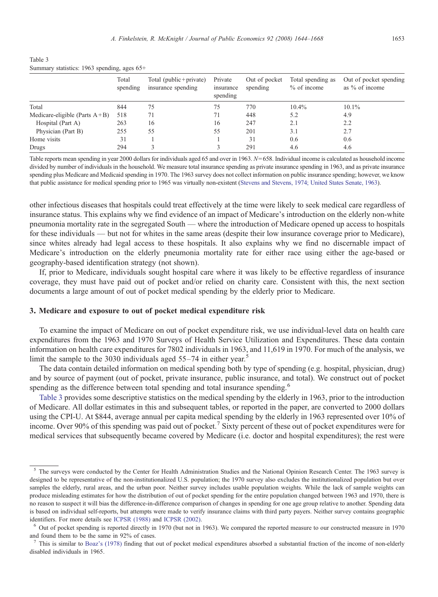<span id="page-9-0"></span>

| Table 3                                     |  |  |
|---------------------------------------------|--|--|
| Summary statistics: 1963 spending, ages 65+ |  |  |

|                                    | Total<br>spending | Total (public+private)<br>insurance spending | Private<br>insurance<br>spending | Out of pocket<br>spending | Total spending as<br>$%$ of income | Out of pocket spending<br>as $\%$ of income |
|------------------------------------|-------------------|----------------------------------------------|----------------------------------|---------------------------|------------------------------------|---------------------------------------------|
| Total                              | 844               | 75                                           | 75                               | 770                       | $10.4\%$                           | $10.1\%$                                    |
| Medicare-eligible (Parts $A + B$ ) | 518               | 71                                           | 71                               | 448                       | 5.2                                | 4.9                                         |
| Hospital (Part A)                  | 263               | 16                                           | 16                               | 247                       | 2.1                                | 2.2                                         |
| Physician (Part B)                 | 255               | 55                                           | 55                               | 201                       | 3.1                                | 2.7                                         |
| Home visits                        | 31                |                                              |                                  | 31                        | 0.6                                | 0.6                                         |
| Drugs                              | 294               |                                              |                                  | 291                       | 4.6                                | 4.6                                         |

Table reports mean spending in year 2000 dollars for individuals aged 65 and over in 1963. N= 658. Individual income is calculated as household income divided by number of individuals in the household. We measure total insurance spending as private insurance spending in 1963, and as private insurance spending plus Medicare and Medicaid spending in 1970. The 1963 survey does not collect information on public insurance spending; however, we know that public assistance for medical spending prior to 1965 was virtually non-existent [\(Stevens and Stevens, 1974; United States Senate, 1963](#page-24-0)).

other infectious diseases that hospitals could treat effectively at the time were likely to seek medical care regardless of insurance status. This explains why we find evidence of an impact of Medicare's introduction on the elderly non-white pneumonia mortality rate in the segregated South — where the introduction of Medicare opened up access to hospitals for these individuals — but not for whites in the same areas (despite their low insurance coverage prior to Medicare), since whites already had legal access to these hospitals. It also explains why we find no discernable impact of Medicare's introduction on the elderly pneumonia mortality rate for either race using either the age-based or geography-based identification strategy (not shown).

If, prior to Medicare, individuals sought hospital care where it was likely to be effective regardless of insurance coverage, they must have paid out of pocket and/or relied on charity care. Consistent with this, the next section documents a large amount of out of pocket medical spending by the elderly prior to Medicare.

# 3. Medicare and exposure to out of pocket medical expenditure risk

To examine the impact of Medicare on out of pocket expenditure risk, we use individual-level data on health care expenditures from the 1963 and 1970 Surveys of Health Service Utilization and Expenditures. These data contain information on health care expenditures for 7802 individuals in 1963, and 11,619 in 1970. For much of the analysis, we limit the sample to the 3030 individuals aged 55–74 in either year.<sup>5</sup>

The data contain detailed information on medical spending both by type of spending (e.g. hospital, physician, drug) and by source of payment (out of pocket, private insurance, public insurance, and total). We construct out of pocket spending as the difference between total spending and total insurance spending.<sup>6</sup>

Table 3 provides some descriptive statistics on the medical spending by the elderly in 1963, prior to the introduction of Medicare. All dollar estimates in this and subsequent tables, or reported in the paper, are converted to 2000 dollars using the CPI-U. At \$844, average annual per capita medical spending by the elderly in 1963 represented over 10% of income. Over 90% of this spending was paid out of pocket.<sup>7</sup> Sixty percent of these out of pocket expenditures were for medical services that subsequently became covered by Medicare (i.e. doctor and hospital expenditures); the rest were

<sup>&</sup>lt;sup>5</sup> The surveys were conducted by the Center for Health Administration Studies and the National Opinion Research Center. The 1963 survey is designed to be representative of the non-institutionalized U.S. population; the 1970 survey also excludes the institutionalized population but over samples the elderly, rural areas, and the urban poor. Neither survey includes usable population weights. While the lack of sample weights can produce misleading estimates for how the distribution of out of pocket spending for the entire population changed between 1963 and 1970, there is no reason to suspect it will bias the difference-in-difference comparison of changes in spending for one age group relative to another. Spending data is based on individual self-reports, but attempts were made to verify insurance claims with third party payers. Neither survey contains geographic identifiers. For more details see [ICPSR \(1988\)](#page-24-0) and [ICPSR \(2002\)](#page-24-0).<br><sup>6</sup> Out of pocket spending is reported directly in 1970 (but not in 1963). We compared the reported measure to our constructed measure in 1970

and found them to be the same in 92% of cases.

 $^7$  This is similar to [Boaz's \(1978\)](#page-23-0) finding that out of pocket medical expenditures absorbed a substantial fraction of the income of non-elderly disabled individuals in 1965.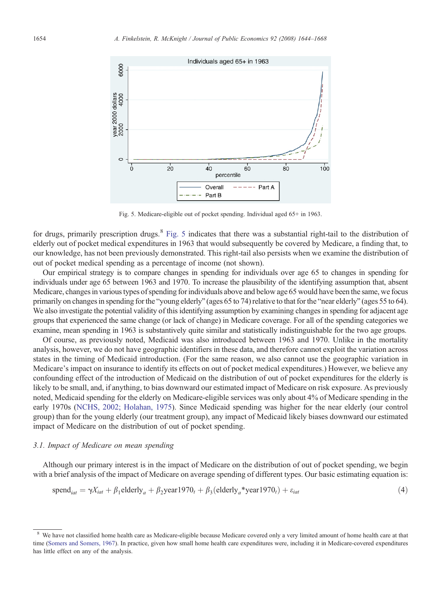<span id="page-10-0"></span>

Fig. 5. Medicare-eligible out of pocket spending. Individual aged 65+ in 1963.

for drugs, primarily prescription drugs.<sup>8</sup> Fig. 5 indicates that there was a substantial right-tail to the distribution of elderly out of pocket medical expenditures in 1963 that would subsequently be covered by Medicare, a finding that, to our knowledge, has not been previously demonstrated. This right-tail also persists when we examine the distribution of out of pocket medical spending as a percentage of income (not shown).

Our empirical strategy is to compare changes in spending for individuals over age 65 to changes in spending for individuals under age 65 between 1963 and 1970. To increase the plausibility of the identifying assumption that, absent Medicare, changes in various types of spending for individuals above and below age 65 would have been the same, we focus primarily on changes in spending for the "young elderly" (ages 65 to 74) relative to that for the "near elderly" (ages 55 to 64). We also investigate the potential validity of this identifying assumption by examining changes in spending for adjacent age groups that experienced the same change (or lack of change) in Medicare coverage. For all of the spending categories we examine, mean spending in 1963 is substantively quite similar and statistically indistinguishable for the two age groups.

Of course, as previously noted, Medicaid was also introduced between 1963 and 1970. Unlike in the mortality analysis, however, we do not have geographic identifiers in these data, and therefore cannot exploit the variation across states in the timing of Medicaid introduction. (For the same reason, we also cannot use the geographic variation in Medicare's impact on insurance to identify its effects on out of pocket medical expenditures.) However, we believe any confounding effect of the introduction of Medicaid on the distribution of out of pocket expenditures for the elderly is likely to be small, and, if anything, to bias downward our estimated impact of Medicare on risk exposure. As previously noted, Medicaid spending for the elderly on Medicare-eligible services was only about 4% of Medicare spending in the early 1970s [\(NCHS, 2002; Holahan, 1975\)](#page-24-0). Since Medicaid spending was higher for the near elderly (our control group) than for the young elderly (our treatment group), any impact of Medicaid likely biases downward our estimated impact of Medicare on the distribution of out of pocket spending.

# 3.1. Impact of Medicare on mean spending

Although our primary interest is in the impact of Medicare on the distribution of out of pocket spending, we begin with a brief analysis of the impact of Medicare on average spending of different types. Our basic estimating equation is:

$$
\text{spend}_{iat} = \gamma X_{iat} + \beta_1 \text{elderly}_a + \beta_2 \text{year1970}_t + \beta_3 (\text{elderly}_a * \text{year1970}_t) + \varepsilon_{iat} \tag{4}
$$

We have not classified home health care as Medicare-eligible because Medicare covered only a very limited amount of home health care at that time ([Somers and Somers, 1967](#page-24-0)). In practice, given how small home health care expenditures were, including it in Medicare-covered expenditures has little effect on any of the analysis.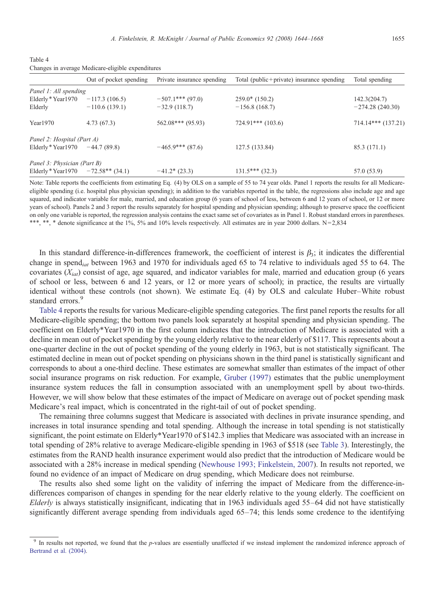<span id="page-11-0"></span>

| Table 4 |                                                   |  |
|---------|---------------------------------------------------|--|
|         | Changes in average Medicare-eligible expenditures |  |

| changes in a verage measure engine expenditures                     |                        |                            |                                           |                        |  |  |
|---------------------------------------------------------------------|------------------------|----------------------------|-------------------------------------------|------------------------|--|--|
|                                                                     | Out of pocket spending | Private insurance spending | Total (public+private) insurance spending | Total spending         |  |  |
| Panel 1: All spending                                               |                        |                            |                                           |                        |  |  |
| Elderly * Year1970                                                  | $-117.3(106.5)$        | $-507.1***$ (97.0)         | $259.0*$ (150.2)                          | 142.3(204.7)           |  |  |
| Elderly                                                             | $-110.6(139.1)$        | $-32.9(118.7)$             | $-156.8(168.7)$                           | $-274.28(240.30)$      |  |  |
| Year1970                                                            | 4.73(67.3)             | $562.08***$ (95.93)        | $724.91***$ (103.6)                       | $714.14***$ $(137.21)$ |  |  |
| Panel 2: Hospital (Part A)<br>Elderly * Year1970                    | $-44.7(89.8)$          | $-465.9***$ (87.6)         | 127.5 (133.84)                            | 85.3 (171.1)           |  |  |
| Panel 3: Physician (Part B)<br>Elderly * Year1970 $-72.58**$ (34.1) |                        | $-41.2*(23.3)$             | $131.5***$ (32.3)                         | 57.0 (53.9)            |  |  |

Note: Table reports the coefficients from estimating Eq. (4) by OLS on a sample of 55 to 74 year olds. Panel 1 reports the results for all Medicareeligible spending (i.e. hospital plus physician spending); in addition to the variables reported in the table, the regressions also include age and age squared, and indicator variable for male, married, and education group (6 years of school of less, between 6 and 12 years of school, or 12 or more years of school). Panels 2 and 3 report the results separately for hospital spending and physician spending; although to preserve space the coefficient on only one variable is reported, the regression analysis contains the exact same set of covariates as in Panel 1. Robust standard errors in parentheses.  $***$ ,  $**$ ,  $*$  denote significance at the 1%, 5% and 10% levels respectively. All estimates are in year 2000 dollars. N=2,834

In this standard difference-in-differences framework, the coefficient of interest is  $\beta_3$ ; it indicates the differential change in spend<sub>iat</sub> between 1963 and 1970 for individuals aged 65 to 74 relative to individuals aged 55 to 64. The covariates  $(X_{iat})$  consist of age, age squared, and indicator variables for male, married and education group (6 years of school or less, between 6 and 12 years, or 12 or more years of school); in practice, the results are virtually identical without these controls (not shown). We estimate Eq. (4) by OLS and calculate Huber–White robust standard errors.<sup>9</sup>

Table 4 reports the results for various Medicare-eligible spending categories. The first panel reports the results for all Medicare-eligible spending; the bottom two panels look separately at hospital spending and physician spending. The coefficient on Elderly\*Year1970 in the first column indicates that the introduction of Medicare is associated with a decline in mean out of pocket spending by the young elderly relative to the near elderly of \$117. This represents about a one-quarter decline in the out of pocket spending of the young elderly in 1963, but is not statistically significant. The estimated decline in mean out of pocket spending on physicians shown in the third panel is statistically significant and corresponds to about a one-third decline. These estimates are somewhat smaller than estimates of the impact of other social insurance programs on risk reduction. For example, [Gruber \(1997\)](#page-24-0) estimates that the public unemployment insurance system reduces the fall in consumption associated with an unemployment spell by about two-thirds. However, we will show below that these estimates of the impact of Medicare on average out of pocket spending mask Medicare's real impact, which is concentrated in the right-tail of out of pocket spending.

The remaining three columns suggest that Medicare is associated with declines in private insurance spending, and increases in total insurance spending and total spending. Although the increase in total spending is not statistically significant, the point estimate on Elderly<sup>\*</sup>Year1970 of \$142.3 implies that Medicare was associated with an increase in total spending of 28% relative to average Medicare-eligible spending in 1963 of \$518 (see [Table 3](#page-9-0)). Interestingly, the estimates from the RAND health insurance experiment would also predict that the introduction of Medicare would be associated with a 28% increase in medical spending [\(Newhouse 1993; Finkelstein, 2007\)](#page-24-0). In results not reported, we found no evidence of an impact of Medicare on drug spending, which Medicare does not reimburse.

The results also shed some light on the validity of inferring the impact of Medicare from the difference-indifferences comparison of changes in spending for the near elderly relative to the young elderly. The coefficient on Elderly is always statistically insignificant, indicating that in 1963 individuals aged 55–64 did not have statistically significantly different average spending from individuals aged 65–74; this lends some credence to the identifying

<sup>&</sup>lt;sup>9</sup> In results not reported, we found that the p-values are essentially unaffected if we instead implement the randomized inference approach of [Bertrand et al. \(2004\).](#page-23-0)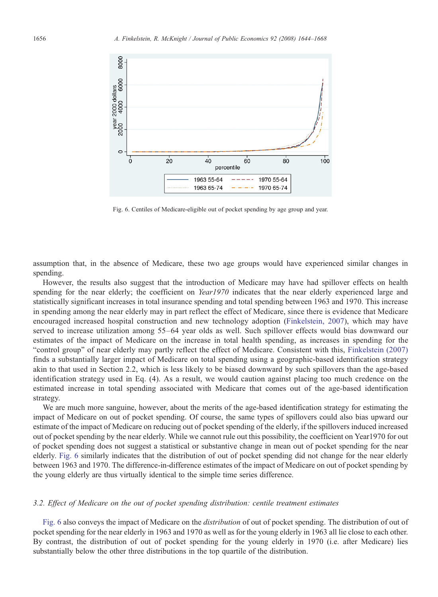<span id="page-12-0"></span>

Fig. 6. Centiles of Medicare-eligible out of pocket spending by age group and year.

assumption that, in the absence of Medicare, these two age groups would have experienced similar changes in spending.

However, the results also suggest that the introduction of Medicare may have had spillover effects on health spending for the near elderly; the coefficient on Year1970 indicates that the near elderly experienced large and statistically significant increases in total insurance spending and total spending between 1963 and 1970. This increase in spending among the near elderly may in part reflect the effect of Medicare, since there is evidence that Medicare encouraged increased hospital construction and new technology adoption [\(Finkelstein, 2007](#page-24-0)), which may have served to increase utilization among 55–64 year olds as well. Such spillover effects would bias downward our estimates of the impact of Medicare on the increase in total health spending, as increases in spending for the "control group" of near elderly may partly reflect the effect of Medicare. Consistent with this, [Finkelstein \(2007\)](#page-24-0) finds a substantially larger impact of Medicare on total spending using a geographic-based identification strategy akin to that used in Section 2.2, which is less likely to be biased downward by such spillovers than the age-based identification strategy used in Eq. (4). As a result, we would caution against placing too much credence on the estimated increase in total spending associated with Medicare that comes out of the age-based identification strategy.

We are much more sanguine, however, about the merits of the age-based identification strategy for estimating the impact of Medicare on out of pocket spending. Of course, the same types of spillovers could also bias upward our estimate of the impact of Medicare on reducing out of pocket spending of the elderly, if the spillovers induced increased out of pocket spending by the near elderly. While we cannot rule out this possibility, the coefficient on Year1970 for out of pocket spending does not suggest a statistical or substantive change in mean out of pocket spending for the near elderly. Fig. 6 similarly indicates that the distribution of out of pocket spending did not change for the near elderly between 1963 and 1970. The difference-in-difference estimates of the impact of Medicare on out of pocket spending by the young elderly are thus virtually identical to the simple time series difference.

## 3.2. Effect of Medicare on the out of pocket spending distribution: centile treatment estimates

Fig. 6 also conveys the impact of Medicare on the *distribution* of out of pocket spending. The distribution of out of pocket spending for the near elderly in 1963 and 1970 as well as for the young elderly in 1963 all lie close to each other. By contrast, the distribution of out of pocket spending for the young elderly in 1970 (i.e. after Medicare) lies substantially below the other three distributions in the top quartile of the distribution.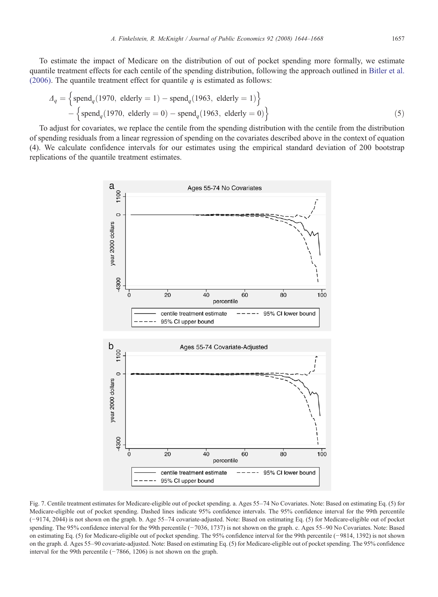<span id="page-13-0"></span>To estimate the impact of Medicare on the distribution of out of pocket spending more formally, we estimate quantile treatment effects for each centile of the spending distribution, following the approach outlined in [Bitler et al.](#page-23-0) [\(2006\)](#page-23-0). The quantile treatment effect for quantile  $q$  is estimated as follows:

$$
\Delta_q = \left\{ \text{spend}_q(1970, \text{ elderly} = 1) - \text{spend}_q(1963, \text{ elderly} = 1) \right\}
$$

$$
- \left\{ \text{spend}_q(1970, \text{elderly} = 0) - \text{spend}_q(1963, \text{elderly} = 0) \right\}
$$
(5)

To adjust for covariates, we replace the centile from the spending distribution with the centile from the distribution of spending residuals from a linear regression of spending on the covariates described above in the context of equation (4). We calculate confidence intervals for our estimates using the empirical standard deviation of 200 bootstrap replications of the quantile treatment estimates.



Fig. 7. Centile treatment estimates for Medicare-eligible out of pocket spending. a. Ages 55–74 No Covariates. Note: Based on estimating Eq. (5) for Medicare-eligible out of pocket spending. Dashed lines indicate 95% confidence intervals. The 95% confidence interval for the 99th percentile (−9174, 2044) is not shown on the graph. b. Age 55–74 covariate-adjusted. Note: Based on estimating Eq. (5) for Medicare-eligible out of pocket spending. The 95% confidence interval for the 99th percentile (−7036, 1737) is not shown on the graph. c. Ages 55–90 No Covariates. Note: Based on estimating Eq. (5) for Medicare-eligible out of pocket spending. The 95% confidence interval for the 99th percentile (−9814, 1392) is not shown on the graph. d. Ages 55–90 covariate-adjusted. Note: Based on estimating Eq. (5) for Medicare-eligible out of pocket spending. The 95% confidence interval for the 99th percentile  $(-7866, 1206)$  is not shown on the graph.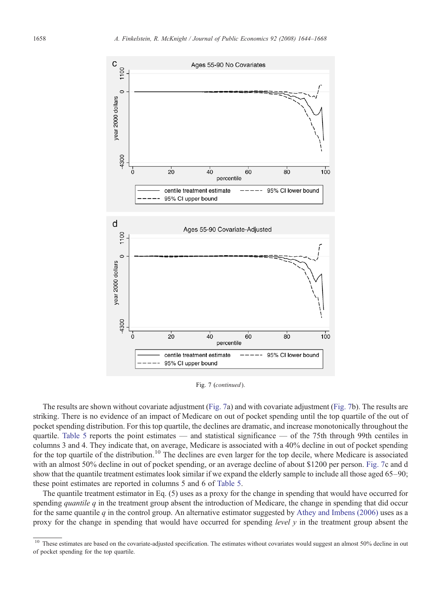

Fig. 7 (continued).

The results are shown without covariate adjustment [\(Fig. 7](#page-13-0)a) and with covariate adjustment ([Fig. 7](#page-13-0)b). The results are striking. There is no evidence of an impact of Medicare on out of pocket spending until the top quartile of the out of pocket spending distribution. For this top quartile, the declines are dramatic, and increase monotonically throughout the quartile. [Table 5](#page-15-0) reports the point estimates — and statistical significance — of the 75th through 99th centiles in columns 3 and 4. They indicate that, on average, Medicare is associated with a 40% decline in out of pocket spending for the top quartile of the distribution.<sup>10</sup> The declines are even larger for the top decile, where Medicare is associated with an almost 50% decline in out of pocket spending, or an average decline of about \$1200 per person. [Fig. 7c](#page-13-0) and d show that the quantile treatment estimates look similar if we expand the elderly sample to include all those aged 65–90; these point estimates are reported in columns 5 and 6 of [Table 5.](#page-15-0)

The quantile treatment estimator in Eq. (5) uses as a proxy for the change in spending that would have occurred for spending *quantile q* in the treatment group absent the introduction of Medicare, the change in spending that did occur for the same quantile  $q$  in the control group. An alternative estimator suggested by [Athey and Imbens \(2006\)](#page-23-0) uses as a proxy for the change in spending that would have occurred for spending *level*  $\gamma$  in the treatment group absent the

<sup>&</sup>lt;sup>10</sup> These estimates are based on the covariate-adjusted specification. The estimates without covariates would suggest an almost 50% decline in out of pocket spending for the top quartile.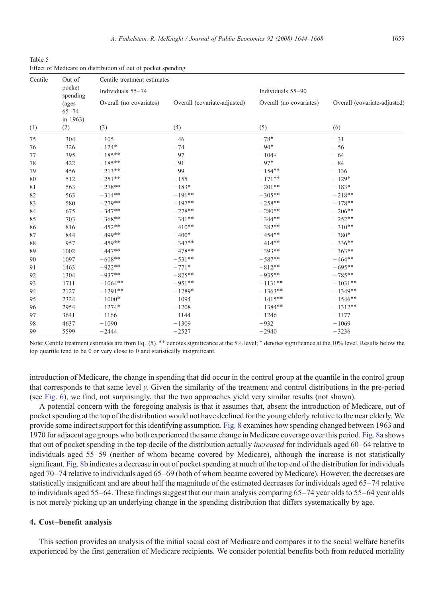<span id="page-15-0"></span>Table 5 Effect of Medicare on distribution of out of pocket spending

| Centile<br>Out of |                                | Centile treatment estimates         |                              |                         |                              |  |  |
|-------------------|--------------------------------|-------------------------------------|------------------------------|-------------------------|------------------------------|--|--|
|                   | pocket                         | Individuals 55-74                   |                              | Individuals 55-90       |                              |  |  |
|                   | (ages<br>$65 - 74$<br>in 1963) | spending<br>Overall (no covariates) | Overall (covariate-adjusted) | Overall (no covariates) | Overall (covariate-adjusted) |  |  |
| (1)               | (2)                            | (3)                                 | (4)                          | (5)                     | (6)                          |  |  |
| 75                | 304                            | $-105$                              | $-46$                        | $-78*$                  | $-31$                        |  |  |
| 76                | 326                            | $-124*$                             | $-74$                        | $-94*$                  | $-56$                        |  |  |
| 77                | 395                            | $-185**$                            | $-97$                        | $-104*$                 | $-64$                        |  |  |
| 78                | 422                            | $-185**$                            | $-91$                        | $-97*$                  | $-84$                        |  |  |
| 79                | 456                            | $-213**$                            | $-99$                        | $-154**$                | $-136$                       |  |  |
| 80                | 512                            | $-251**$                            | $-155$                       | $-171**$                | $-129*$                      |  |  |
| 81                | 563                            | $-278**$                            | $-183*$                      | $-201**$                | $-183*$                      |  |  |
| 82                | 563                            | $-314**$                            | $-191**$                     | $-305**$                | $-218**$                     |  |  |
| 83                | 580                            | $-279**$                            | $-197**$                     | $-258**$                | $-178**$                     |  |  |
| 84                | 675                            | $-347**$                            | $-278**$                     | $-280**$                | $-206**$                     |  |  |
| 85                | 703                            | $-368**$                            | $-341**$                     | $-344**$                | $-252**$                     |  |  |
| 86                | 816                            | $-452**$                            | $-410**$                     | $-382**$                | $-310**$                     |  |  |
| 87                | 844                            | $-499**$                            | $-400*$                      | $-454**$                | $-380*$                      |  |  |
| 88                | 957                            | $-459**$                            | $-347**$                     | $-414**$                | $-336**$                     |  |  |
| 89                | 1002                           | $-447**$                            | $-478**$                     | $-393**$                | $-363**$                     |  |  |
| 90                | 1097                           | $-608**$                            | $-531**$                     | $-587**$                | $-464**$                     |  |  |
| 91                | 1463                           | $-922**$                            | $-771*$                      | $-812**$                | $-695**$                     |  |  |
| 92                | 1304                           | $-937**$                            | $-825**$                     | $-935**$                | $-785**$                     |  |  |
| 93                | 1711                           | $-1064**$                           | $-951**$                     | $-1131**$               | $-1031**$                    |  |  |
| 94                | 2127                           | $-1291**$                           | $-1289*$                     | $-1363**$               | $-1349**$                    |  |  |
| 95                | 2324                           | $-1000*$                            | $-1094$                      | $-1415**$               | $-1546**$                    |  |  |
| 96                | 2954                           | $-1274*$                            | $-1208$                      | $-1384**$               | $-1312**$                    |  |  |
| 97                | 3641                           | $-1166$                             | $-1144$                      | $-1246$                 | $-1177$                      |  |  |
| 98                | 4637                           | $-1090$                             | $-1309$                      | $-932$                  | $-1069$                      |  |  |
| 99                | 5599                           | $-2444$                             | $-2527$                      | $-2940$                 | $-3236$                      |  |  |

Note: Centile treatment estimates are from Eq. (5). \*\* denotes significance at the 5% level; \* denotes significance at the 10% level. Results below the top quartile tend to be 0 or very close to 0 and statistically insignificant.

introduction of Medicare, the change in spending that did occur in the control group at the quantile in the control group that corresponds to that same level y. Given the similarity of the treatment and control distributions in the pre-period (see [Fig. 6](#page-12-0)), we find, not surprisingly, that the two approaches yield very similar results (not shown).

A potential concern with the foregoing analysis is that it assumes that, absent the introduction of Medicare, out of pocket spending at the top of the distribution would not have declined for the young elderly relative to the near elderly. We provide some indirect support for this identifying assumption. [Fig. 8](#page-16-0) examines how spending changed between 1963 and 1970 for adjacent age groups who both experienced the same change in Medicare coverage over this period. [Fig. 8](#page-16-0)a shows that out of pocket spending in the top decile of the distribution actually increased for individuals aged 60–64 relative to individuals aged 55–59 (neither of whom became covered by Medicare), although the increase is not statistically significant. [Fig. 8b](#page-16-0) indicates a decrease in out of pocket spending at much of the top end of the distribution for individuals aged 70–74 relative to individuals aged 65–69 (both of whom became covered by Medicare). However, the decreases are statistically insignificant and are about half the magnitude of the estimated decreases for individuals aged 65–74 relative to individuals aged 55–64. These findings suggest that our main analysis comparing 65–74 year olds to 55–64 year olds is not merely picking up an underlying change in the spending distribution that differs systematically by age.

# 4. Cost–benefit analysis

This section provides an analysis of the initial social cost of Medicare and compares it to the social welfare benefits experienced by the first generation of Medicare recipients. We consider potential benefits both from reduced mortality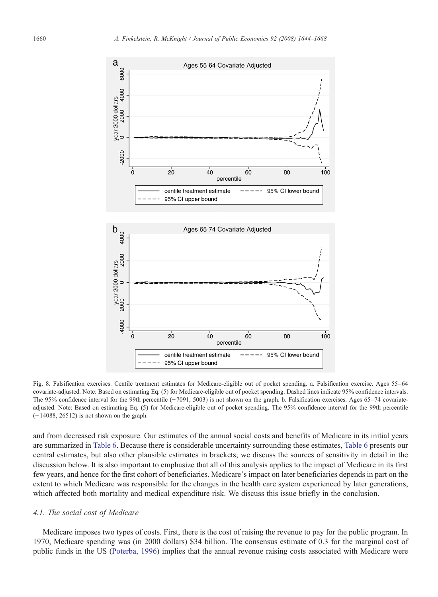<span id="page-16-0"></span>

Fig. 8. Falsification exercises. Centile treatment estimates for Medicare-eligible out of pocket spending. a. Falsification exercise. Ages 55–64 covariate-adjusted. Note: Based on estimating Eq. (5) for Medicare-eligible out of pocket spending. Dashed lines indicate 95% confidence intervals. The 95% confidence interval for the 99th percentile (−7091, 5003) is not shown on the graph. b. Falsification exercises. Ages 65–74 covariateadjusted. Note: Based on estimating Eq. (5) for Medicare-eligible out of pocket spending. The 95% confidence interval for the 99th percentile (−14088, 26512) is not shown on the graph.

and from decreased risk exposure. Our estimates of the annual social costs and benefits of Medicare in its initial years are summarized in [Table 6.](#page-17-0) Because there is considerable uncertainty surrounding these estimates, [Table 6](#page-17-0) presents our central estimates, but also other plausible estimates in brackets; we discuss the sources of sensitivity in detail in the discussion below. It is also important to emphasize that all of this analysis applies to the impact of Medicare in its first few years, and hence for the first cohort of beneficiaries. Medicare's impact on later beneficiaries depends in part on the extent to which Medicare was responsible for the changes in the health care system experienced by later generations, which affected both mortality and medical expenditure risk. We discuss this issue briefly in the conclusion.

#### 4.1. The social cost of Medicare

Medicare imposes two types of costs. First, there is the cost of raising the revenue to pay for the public program. In 1970, Medicare spending was (in 2000 dollars) \$34 billion. The consensus estimate of 0.3 for the marginal cost of public funds in the US [\(Poterba, 1996](#page-24-0)) implies that the annual revenue raising costs associated with Medicare were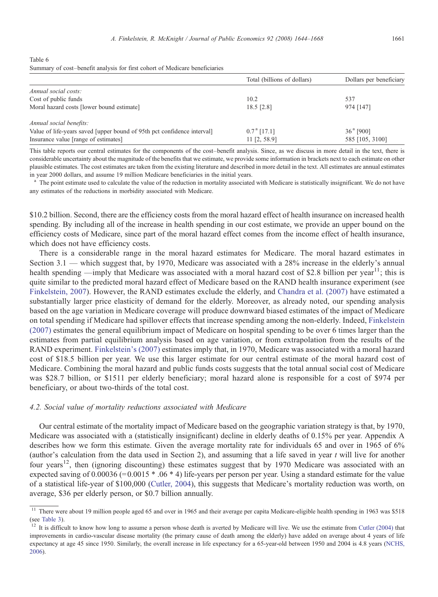<span id="page-17-0"></span>Table 6

|  | Summary of cost-benefit analysis for first cohort of Medicare beneficiaries |  |  |  |  |  |
|--|-----------------------------------------------------------------------------|--|--|--|--|--|
|--|-----------------------------------------------------------------------------|--|--|--|--|--|

|                                                                         | Total (billions of dollars) | Dollars per beneficiary |
|-------------------------------------------------------------------------|-----------------------------|-------------------------|
| Annual social costs:                                                    |                             |                         |
| Cost of public funds                                                    | 10.2                        | 537                     |
| Moral hazard costs [lower bound estimate]                               | $18.5$ [2.8]                | 974 [147]               |
| Annual social benefits:                                                 |                             |                         |
| Value of life-years saved (upper bound of 95th pct confidence interval) | $0.7a$ [17.1]               | $36a$ [900]             |
| Insurance value [range of estimates]                                    | 11 [2, 58.9]                | 585 [105, 3100]         |

This table reports our central estimates for the components of the cost–benefit analysis. Since, as we discuss in more detail in the text, there is considerable uncertainty about the magnitude of the benefits that we estimate, we provide some information in brackets next to each estimate on other plausible estimates. The cost estimates are taken from the existing literature and described in more detail in the text. All estimates are annual estimates in year 2000 dollars, and assume 19 million Medicare beneficiaries in the initial years.

<sup>a</sup> The point estimate used to calculate the value of the reduction in mortality associated with Medicare is statistically insignificant. We do not have any estimates of the reductions in morbidity associated with Medicare.

\$10.2 billion. Second, there are the efficiency costs from the moral hazard effect of health insurance on increased health spending. By including all of the increase in health spending in our cost estimate, we provide an upper bound on the efficiency costs of Medicare, since part of the moral hazard effect comes from the income effect of health insurance, which does not have efficiency costs.

There is a considerable range in the moral hazard estimates for Medicare. The moral hazard estimates in Section 3.1 — which suggest that, by 1970, Medicare was associated with a 28% increase in the elderly's annual health spending —imply that Medicare was associated with a moral hazard cost of \$2.8 billion per year<sup>11</sup>; this is quite similar to the predicted moral hazard effect of Medicare based on the RAND health insurance experiment (see [Finkelstein, 2007\)](#page-24-0). However, the RAND estimates exclude the elderly, and [Chandra et al. \(2007\)](#page-23-0) have estimated a substantially larger price elasticity of demand for the elderly. Moreover, as already noted, our spending analysis based on the age variation in Medicare coverage will produce downward biased estimates of the impact of Medicare on total spending if Medicare had spillover effects that increase spending among the non-elderly. Indeed, [Finkelstein](#page-24-0) [\(2007\)](#page-24-0) estimates the general equilibrium impact of Medicare on hospital spending to be over 6 times larger than the estimates from partial equilibrium analysis based on age variation, or from extrapolation from the results of the RAND experiment. [Finkelstein's \(2007\)](#page-24-0) estimates imply that, in 1970, Medicare was associated with a moral hazard cost of \$18.5 billion per year. We use this larger estimate for our central estimate of the moral hazard cost of Medicare. Combining the moral hazard and public funds costs suggests that the total annual social cost of Medicare was \$28.7 billion, or \$1511 per elderly beneficiary; moral hazard alone is responsible for a cost of \$974 per beneficiary, or about two-thirds of the total cost.

# 4.2. Social value of mortality reductions associated with Medicare

Our central estimate of the mortality impact of Medicare based on the geographic variation strategy is that, by 1970, Medicare was associated with a (statistically insignificant) decline in elderly deaths of 0.15% per year. Appendix A describes how we form this estimate. Given the average mortality rate for individuals 65 and over in 1965 of 6% (author's calculation from the data used in Section 2), and assuming that a life saved in year  $t$  will live for another four years<sup>12</sup>, then (ignoring discounting) these estimates suggest that by 1970 Medicare was associated with an expected saving of 0.00036 (=0.0015  $*$  .06  $*$  4) life-years per person per year. Using a standard estimate for the value of a statistical life-year of \$100,000 ([Cutler, 2004\)](#page-24-0), this suggests that Medicare's mortality reduction was worth, on average, \$36 per elderly person, or \$0.7 billion annually.

<sup>&</sup>lt;sup>11</sup> There were about 19 million people aged 65 and over in 1965 and their average per capita Medicare-eligible health spending in 1963 was \$518 (see [Table 3](#page-11-0)).<br><sup>12</sup> It is difficult to know how long to assume a person whose death is averted by Medicare will live. We use the estimate from [Cutler \(2004\)](#page-24-0) that

improvements in cardio-vascular disease mortality (the primary cause of death among the elderly) have added on average about 4 years of life expectancy at age 45 since 1950. Similarly, the overall increase in life expectancy for a 65-year-old between 1950 and 2004 is 4.8 years [\(NCHS,](#page-24-0) [2006\)](#page-24-0).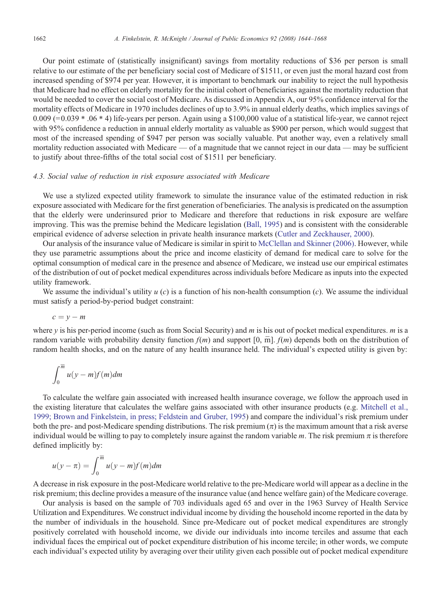Our point estimate of (statistically insignificant) savings from mortality reductions of \$36 per person is small relative to our estimate of the per beneficiary social cost of Medicare of \$1511, or even just the moral hazard cost from increased spending of \$974 per year. However, it is important to benchmark our inability to reject the null hypothesis that Medicare had no effect on elderly mortality for the initial cohort of beneficiaries against the mortality reduction that would be needed to cover the social cost of Medicare. As discussed in Appendix A, our 95% confidence interval for the mortality effects of Medicare in 1970 includes declines of up to 3.9% in annual elderly deaths, which implies savings of  $0.009$  (= $0.039$   $*$  .06  $*$  4) life-years per person. Again using a \$100,000 value of a statistical life-year, we cannot reject with 95% confidence a reduction in annual elderly mortality as valuable as \$900 per person, which would suggest that most of the increased spending of \$947 per person was socially valuable. Put another way, even a relatively small mortality reduction associated with Medicare — of a magnitude that we cannot reject in our data — may be sufficient to justify about three-fifths of the total social cost of \$1511 per beneficiary.

#### 4.3. Social value of reduction in risk exposure associated with Medicare

We use a stylized expected utility framework to simulate the insurance value of the estimated reduction in risk exposure associated with Medicare for the first generation of beneficiaries. The analysis is predicated on the assumption that the elderly were underinsured prior to Medicare and therefore that reductions in risk exposure are welfare improving. This was the premise behind the Medicare legislation [\(Ball, 1995\)](#page-23-0) and is consistent with the considerable empirical evidence of adverse selection in private health insurance markets [\(Cutler and Zeckhauser, 2000\)](#page-24-0).

Our analysis of the insurance value of Medicare is similar in spirit to [McClellan and Skinner \(2006\)](#page-24-0). However, while they use parametric assumptions about the price and income elasticity of demand for medical care to solve for the optimal consumption of medical care in the presence and absence of Medicare, we instead use our empirical estimates of the distribution of out of pocket medical expenditures across individuals before Medicare as inputs into the expected utility framework.

We assume the individual's utility  $u(c)$  is a function of his non-health consumption  $(c)$ . We assume the individual must satisfy a period-by-period budget constraint:

$$
c = y - m
$$

where y is his per-period income (such as from Social Security) and  $m$  is his out of pocket medical expenditures.  $m$  is a random variable with probability density function  $f(m)$  and support  $[0, \overline{m}]$ .  $f(m)$  depends both on the distribution of random health shocks, and on the nature of any health insurance held. The individual's expected utility is given by:

$$
\int_0^{\overline{m}} u(y-m)f(m)dm
$$

To calculate the welfare gain associated with increased health insurance coverage, we follow the approach used in the existing literature that calculates the welfare gains associated with other insurance products (e.g. [Mitchell et al.,](#page-24-0) [1999; Brown and Finkelstein, in press; Feldstein and Gruber, 1995\)](#page-24-0) and compare the individual's risk premium under both the pre- and post-Medicare spending distributions. The risk premium  $(\pi)$  is the maximum amount that a risk averse individual would be willing to pay to completely insure against the random variable m. The risk premium  $\pi$  is therefore defined implicitly by:

$$
u(y - \pi) = \int_0^{\overline{m}} u(y - m)f(m)dm
$$

A decrease in risk exposure in the post-Medicare world relative to the pre-Medicare world will appear as a decline in the risk premium; this decline provides a measure of the insurance value (and hence welfare gain) of the Medicare coverage.

Our analysis is based on the sample of 703 individuals aged 65 and over in the 1963 Survey of Health Service Utilization and Expenditures. We construct individual income by dividing the household income reported in the data by the number of individuals in the household. Since pre-Medicare out of pocket medical expenditures are strongly positively correlated with household income, we divide our individuals into income terciles and assume that each individual faces the empirical out of pocket expenditure distribution of his income tercile; in other words, we compute each individual's expected utility by averaging over their utility given each possible out of pocket medical expenditure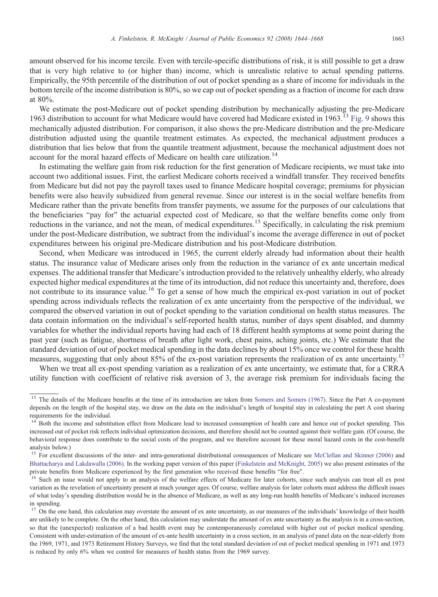amount observed for his income tercile. Even with tercile-specific distributions of risk, it is still possible to get a draw that is very high relative to (or higher than) income, which is unrealistic relative to actual spending patterns. Empirically, the 95th percentile of the distribution of out of pocket spending as a share of income for individuals in the bottom tercile of the income distribution is 80%, so we cap out of pocket spending as a fraction of income for each draw at 80%.

We estimate the post-Medicare out of pocket spending distribution by mechanically adjusting the pre-Medicare 1963 distribution to account for what Medicare would have covered had Medicare existed in 1963.<sup>13</sup> [Fig. 9](#page-20-0) shows this mechanically adjusted distribution. For comparison, it also shows the pre-Medicare distribution and the pre-Medicare distribution adjusted using the quantile treatment estimates. As expected, the mechanical adjustment produces a distribution that lies below that from the quantile treatment adjustment, because the mechanical adjustment does not account for the moral hazard effects of Medicare on health care utilization.<sup>14</sup>

In estimating the welfare gain from risk reduction for the first generation of Medicare recipients, we must take into account two additional issues. First, the earliest Medicare cohorts received a windfall transfer. They received benefits from Medicare but did not pay the payroll taxes used to finance Medicare hospital coverage; premiums for physician benefits were also heavily subsidized from general revenue. Since our interest is in the social welfare benefits from Medicare rather than the private benefits from transfer payments, we assume for the purposes of our calculations that the beneficiaries "pay for" the actuarial expected cost of Medicare, so that the welfare benefits come only from reductions in the variance, and not the mean, of medical expenditures.<sup>15</sup> Specifically, in calculating the risk premium under the post-Medicare distribution, we subtract from the individual's income the average difference in out of pocket expenditures between his original pre-Medicare distribution and his post-Medicare distribution.

Second, when Medicare was introduced in 1965, the current elderly already had information about their health status. The insurance value of Medicare arises only from the reduction in the variance of ex ante uncertain medical expenses. The additional transfer that Medicare's introduction provided to the relatively unhealthy elderly, who already expected higher medical expenditures at the time of its introduction, did not reduce this uncertainty and, therefore, does not contribute to its insurance value.<sup>16</sup> To get a sense of how much the empirical ex-post variation in out of pocket spending across individuals reflects the realization of ex ante uncertainty from the perspective of the individual, we compared the observed variation in out of pocket spending to the variation conditional on health status measures. The data contain information on the individual's self-reported health status, number of days spent disabled, and dummy variables for whether the individual reports having had each of 18 different health symptoms at some point during the past year (such as fatigue, shortness of breath after light work, chest pains, aching joints, etc.) We estimate that the standard deviation of out of pocket medical spending in the data declines by about 15% once we control for these health measures, suggesting that only about 85% of the ex-post variation represents the realization of ex ante uncertainty.<sup>17</sup>

When we treat all ex-post spending variation as a realization of ex ante uncertainty, we estimate that, for a CRRA utility function with coefficient of relative risk aversion of 3, the average risk premium for individuals facing the

<sup>&</sup>lt;sup>13</sup> The details of the Medicare benefits at the time of its introduction are taken from [Somers and Somers \(1967\).](#page-24-0) Since the Part A co-payment depends on the length of the hospital stay, we draw on the data on the individual's length of hospital stay in calculating the part A cost sharing requirements for the individual.

<sup>&</sup>lt;sup>14</sup> Both the income and substitution effect from Medicare lead to increased consumption of health care and hence out of pocket spending. This increased out of pocket risk reflects individual optimization decisions, and therefore should not be counted against their welfare gain. (Of course, the behavioral response does contribute to the social costs of the program, and we therefore account for these moral hazard costs in the cost-benefit analysis below.)

<sup>&</sup>lt;sup>15</sup> For excellent discussions of the inter- and intra-generational distributional consequences of Medicare see [McClellan and Skinner \(2006\)](#page-24-0) and [Bhattacharya and Lakdawalla \(2006\).](#page-23-0) In the working paper version of this paper [\(Finkelstein and McKnight, 2005](#page-24-0)) we also present estimates of the private benefits from Medicare experienced by the first generation who received these benefits "for free".<br><sup>16</sup> Such an issue would not apply to an analysis of the welfare effects of Medicare for later cohorts, since such

variation as the revelation of uncertainty present at much younger ages. Of course, welfare analysis for later cohorts must address the difficult issues of what today's spending distribution would be in the absence of Medicare, as well as any long-run health benefits of Medicare's induced increases in spending.

 $17$  On the one hand, this calculation may overstate the amount of ex ante uncertainty, as our measures of the individuals' knowledge of their health are unlikely to be complete. On the other hand, this calculation may understate the amount of ex ante uncertainty as the analysis is in a cross-section, so that the (unexpected) realization of a bad health event may be contemporaneously correlated with higher out of pocket medical spending. Consistent with under-estimation of the amount of ex-ante health uncertainty in a cross section, in an analysis of panel data on the near-elderly from the 1969, 1971, and 1973 Retirement History Surveys, we find that the total standard deviation of out of pocket medical spending in 1971 and 1973 is reduced by only 6% when we control for measures of health status from the 1969 survey.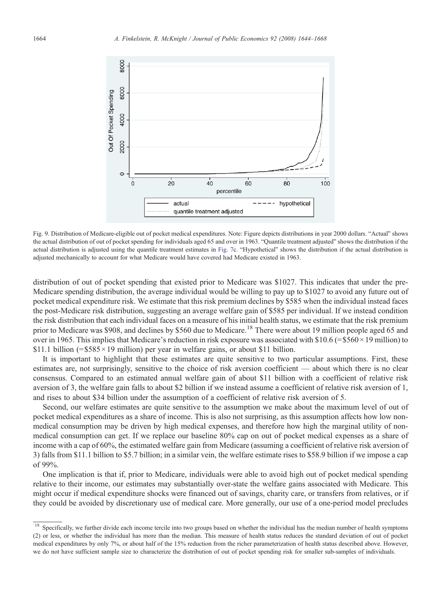<span id="page-20-0"></span>

Fig. 9. Distribution of Medicare-eligible out of pocket medical expenditures. Note: Figure depicts distributions in year 2000 dollars. "Actual" shows the actual distribution of out of pocket spending for individuals aged 65 and over in 1963. "Quantile treatment adjusted" shows the distribution if the actual distribution is adjusted using the quantile treatment estimates in [Fig. 7](#page-13-0)c. "Hypothetical" shows the distribution if the actual distribution is adjusted mechanically to account for what Medicare would have covered had Medicare existed in 1963.

distribution of out of pocket spending that existed prior to Medicare was \$1027. This indicates that under the pre-Medicare spending distribution, the average individual would be willing to pay up to \$1027 to avoid any future out of pocket medical expenditure risk. We estimate that this risk premium declines by \$585 when the individual instead faces the post-Medicare risk distribution, suggesting an average welfare gain of \$585 per individual. If we instead condition the risk distribution that each individual faces on a measure of his initial health status, we estimate that the risk premium prior to Medicare was \$908, and declines by \$560 due to Medicare.<sup>18</sup> There were about 19 million people aged 65 and over in 1965. This implies that Medicare's reduction in risk exposure was associated with  $$10.6 (= $560 \times 19 \text{ million})$  to \$11.1 billion (=  $$585 \times 19$  million) per year in welfare gains, or about \$11 billion.

It is important to highlight that these estimates are quite sensitive to two particular assumptions. First, these estimates are, not surprisingly, sensitive to the choice of risk aversion coefficient — about which there is no clear consensus. Compared to an estimated annual welfare gain of about \$11 billion with a coefficient of relative risk aversion of 3, the welfare gain falls to about \$2 billion if we instead assume a coefficient of relative risk aversion of 1, and rises to about \$34 billion under the assumption of a coefficient of relative risk aversion of 5.

Second, our welfare estimates are quite sensitive to the assumption we make about the maximum level of out of pocket medical expenditures as a share of income. This is also not surprising, as this assumption affects how low nonmedical consumption may be driven by high medical expenses, and therefore how high the marginal utility of nonmedical consumption can get. If we replace our baseline 80% cap on out of pocket medical expenses as a share of income with a cap of 60%, the estimated welfare gain from Medicare (assuming a coefficient of relative risk aversion of 3) falls from \$11.1 billion to \$5.7 billion; in a similar vein, the welfare estimate rises to \$58.9 billion if we impose a cap of 99%.

One implication is that if, prior to Medicare, individuals were able to avoid high out of pocket medical spending relative to their income, our estimates may substantially over-state the welfare gains associated with Medicare. This might occur if medical expenditure shocks were financed out of savings, charity care, or transfers from relatives, or if they could be avoided by discretionary use of medical care. More generally, our use of a one-period model precludes

<sup>&</sup>lt;sup>18</sup> Specifically, we further divide each income tercile into two groups based on whether the individual has the median number of health symptoms (2) or less, or whether the individual has more than the median. This measure of health status reduces the standard deviation of out of pocket medical expenditures by only 7%, or about half of the 15% reduction from the richer parameterization of health status described above. However, we do not have sufficient sample size to characterize the distribution of out of pocket spending risk for smaller sub-samples of individuals.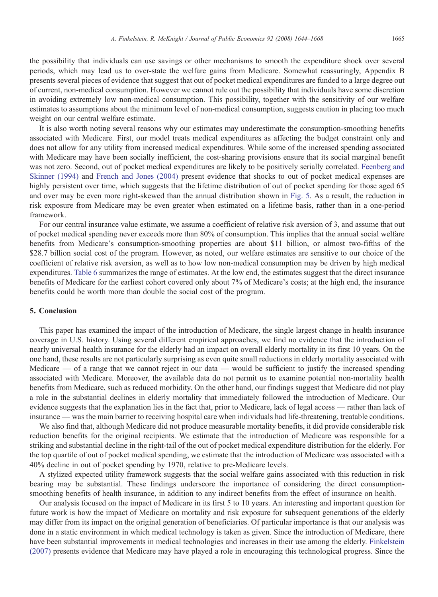the possibility that individuals can use savings or other mechanisms to smooth the expenditure shock over several periods, which may lead us to over-state the welfare gains from Medicare. Somewhat reassuringly, Appendix B presents several pieces of evidence that suggest that out of pocket medical expenditures are funded to a large degree out of current, non-medical consumption. However we cannot rule out the possibility that individuals have some discretion in avoiding extremely low non-medical consumption. This possibility, together with the sensitivity of our welfare estimates to assumptions about the minimum level of non-medical consumption, suggests caution in placing too much weight on our central welfare estimate.

It is also worth noting several reasons why our estimates may underestimate the consumption-smoothing benefits associated with Medicare. First, our model treats medical expenditures as affecting the budget constraint only and does not allow for any utility from increased medical expenditures. While some of the increased spending associated with Medicare may have been socially inefficient, the cost-sharing provisions ensure that its social marginal benefit was not zero. Second, out of pocket medical expenditures are likely to be positively serially correlated. [Feenberg and](#page-24-0) [Skinner \(1994\)](#page-24-0) and [French and Jones \(2004\)](#page-24-0) present evidence that shocks to out of pocket medical expenses are highly persistent over time, which suggests that the lifetime distribution of out of pocket spending for those aged 65 and over may be even more right-skewed than the annual distribution shown in [Fig. 5.](#page-10-0) As a result, the reduction in risk exposure from Medicare may be even greater when estimated on a lifetime basis, rather than in a one-period framework.

For our central insurance value estimate, we assume a coefficient of relative risk aversion of 3, and assume that out of pocket medical spending never exceeds more than 80% of consumption. This implies that the annual social welfare benefits from Medicare's consumption-smoothing properties are about \$11 billion, or almost two-fifths of the \$28.7 billion social cost of the program. However, as noted, our welfare estimates are sensitive to our choice of the coefficient of relative risk aversion, as well as to how low non-medical consumption may be driven by high medical expenditures. [Table 6](#page-17-0) summarizes the range of estimates. At the low end, the estimates suggest that the direct insurance benefits of Medicare for the earliest cohort covered only about 7% of Medicare's costs; at the high end, the insurance benefits could be worth more than double the social cost of the program.

# 5. Conclusion

This paper has examined the impact of the introduction of Medicare, the single largest change in health insurance coverage in U.S. history. Using several different empirical approaches, we find no evidence that the introduction of nearly universal health insurance for the elderly had an impact on overall elderly mortality in its first 10 years. On the one hand, these results are not particularly surprising as even quite small reductions in elderly mortality associated with Medicare — of a range that we cannot reject in our data — would be sufficient to justify the increased spending associated with Medicare. Moreover, the available data do not permit us to examine potential non-mortality health benefits from Medicare, such as reduced morbidity. On the other hand, our findings suggest that Medicare did not play a role in the substantial declines in elderly mortality that immediately followed the introduction of Medicare. Our evidence suggests that the explanation lies in the fact that, prior to Medicare, lack of legal access — rather than lack of insurance — was the main barrier to receiving hospital care when individuals had life-threatening, treatable conditions.

We also find that, although Medicare did not produce measurable mortality benefits, it did provide considerable risk reduction benefits for the original recipients. We estimate that the introduction of Medicare was responsible for a striking and substantial decline in the right-tail of the out of pocket medical expenditure distribution for the elderly. For the top quartile of out of pocket medical spending, we estimate that the introduction of Medicare was associated with a 40% decline in out of pocket spending by 1970, relative to pre-Medicare levels.

A stylized expected utility framework suggests that the social welfare gains associated with this reduction in risk bearing may be substantial. These findings underscore the importance of considering the direct consumptionsmoothing benefits of health insurance, in addition to any indirect benefits from the effect of insurance on health.

Our analysis focused on the impact of Medicare in its first 5 to 10 years. An interesting and important question for future work is how the impact of Medicare on mortality and risk exposure for subsequent generations of the elderly may differ from its impact on the original generation of beneficiaries. Of particular importance is that our analysis was done in a static environment in which medical technology is taken as given. Since the introduction of Medicare, there have been substantial improvements in medical technologies and increases in their use among the elderly. [Finkelstein](#page-24-0) [\(2007\)](#page-24-0) presents evidence that Medicare may have played a role in encouraging this technological progress. Since the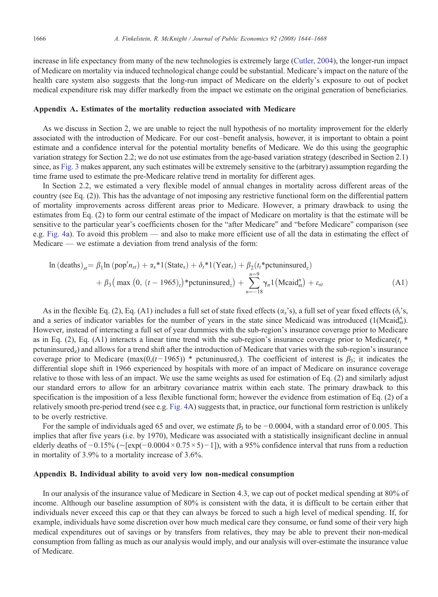increase in life expectancy from many of the new technologies is extremely large [\(Cutler, 2004](#page-24-0)), the longer-run impact of Medicare on mortality via induced technological change could be substantial. Medicare's impact on the nature of the health care system also suggests that the long-run impact of Medicare on the elderly's exposure to out of pocket medical expenditure risk may differ markedly from the impact we estimate on the original generation of beneficiaries.

# Appendix A. Estimates of the mortality reduction associated with Medicare

As we discuss in Section 2, we are unable to reject the null hypothesis of no mortality improvement for the elderly associated with the introduction of Medicare. For our cost–benefit analysis, however, it is important to obtain a point estimate and a confidence interval for the potential mortality benefits of Medicare. We do this using the geographic variation strategy for Section 2.2; we do not use estimates from the age-based variation strategy (described in Section 2.1) since, as [Fig. 3](#page-4-0) makes apparent, any such estimates will be extremely sensitive to the (arbitrary) assumption regarding the time frame used to estimate the pre-Medicare relative trend in mortality for different ages.

In Section 2.2, we estimated a very flexible model of annual changes in mortality across different areas of the country (see Eq. (2)). This has the advantage of not imposing any restrictive functional form on the differential pattern of mortality improvements across different areas prior to Medicare. However, a primary drawback to using the estimates from Eq. (2) to form our central estimate of the impact of Medicare on mortality is that the estimate will be sensitive to the particular year's coefficients chosen for the "after Medicare" and "before Medicare" comparison (see e.g. [Fig. 4](#page-7-0)a). To avoid this problem — and also to make more efficient use of all the data in estimating the effect of Medicare — we estimate a deviation from trend analysis of the form:

$$
\ln \left( \text{deaths} \right)_{st} = \beta_1 \ln \left( \text{pop}' n_{st} \right) + \alpha_s * 1 (\text{State}_s) + \delta_t * 1 (\text{Year}_t) + \beta_2 \left( t_t * \text{petuninsured}_z \right) + \beta_3 \left( \max \left( 0, \left( t - 1965 \right)_t \right) * \text{petuninsured}_z \right) + \sum_{n=-18}^{n=9} \gamma_n 1 (\text{Meaid}_\text{st}^n) + \varepsilon_{st}
$$
\n(A1)

As in the flexible Eq. (2), Eq. (A1) includes a full set of state fixed effects ( $\alpha_s$ 's), a full set of year fixed effects ( $\delta_t$ 's, and a series of indicator variables for the number of years in the state since Medicaid was introduced (1(Mcaid<sup>n</sup><sub>st</sub>). However, instead of interacting a full set of year dummies with the sub-region's insurance coverage prior to Medicare as in Eq. (2), Eq. (A1) interacts a linear time trend with the sub-region's insurance coverage prior to Medicare(t,  $*$ pctuninsured $<sub>z</sub>$ ) and allows for a trend shift after the introduction of Medicare that varies with the sub-region's insurance</sub> coverage prior to Medicare (max(0,(t-1965)) \* pctuninusred<sub>z</sub>). The coefficient of interest is  $\beta_3$ ; it indicates the differential slope shift in 1966 experienced by hospitals with more of an impact of Medicare on insurance coverage relative to those with less of an impact. We use the same weights as used for estimation of Eq. (2) and similarly adjust our standard errors to allow for an arbitrary covariance matrix within each state. The primary drawback to this specification is the imposition of a less flexible functional form; however the evidence from estimation of Eq. (2) of a relatively smooth pre-period trend (see e.g. [Fig. 4A](#page-7-0)) suggests that, in practice, our functional form restriction is unlikely to be overly restrictive.

For the sample of individuals aged 65 and over, we estimate  $\beta_3$  to be −0.0004, with a standard error of 0.005. This implies that after five years (i.e. by 1970), Medicare was associated with a statistically insignificant decline in annual elderly deaths of −0.15% ( $\sim$ [exp(−0.0004×0.75×5)−1]), with a 95% confidence interval that runs from a reduction in mortality of 3.9% to a mortality increase of 3.6%.

# Appendix B. Individual ability to avoid very low non-medical consumption

In our analysis of the insurance value of Medicare in Section 4.3, we cap out of pocket medical spending at 80% of income. Although our baseline assumption of 80% is consistent with the data, it is difficult to be certain either that individuals never exceed this cap or that they can always be forced to such a high level of medical spending. If, for example, individuals have some discretion over how much medical care they consume, or fund some of their very high medical expenditures out of savings or by transfers from relatives, they may be able to prevent their non-medical consumption from falling as much as our analysis would imply, and our analysis will over-estimate the insurance value of Medicare.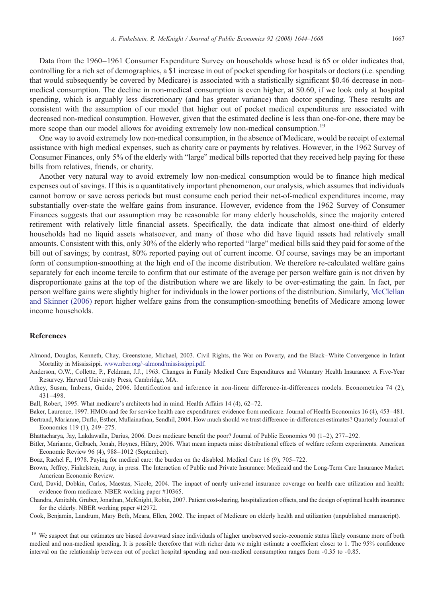<span id="page-23-0"></span>Data from the 1960–1961 Consumer Expenditure Survey on households whose head is 65 or older indicates that, controlling for a rich set of demographics, a \$1 increase in out of pocket spending for hospitals or doctors (i.e. spending that would subsequently be covered by Medicare) is associated with a statistically significant \$0.46 decrease in nonmedical consumption. The decline in non-medical consumption is even higher, at \$0.60, if we look only at hospital spending, which is arguably less discretionary (and has greater variance) than doctor spending. These results are consistent with the assumption of our model that higher out of pocket medical expenditures are associated with decreased non-medical consumption. However, given that the estimated decline is less than one-for-one, there may be more scope than our model allows for avoiding extremely low non-medical consumption.<sup>19</sup>

One way to avoid extremely low non-medical consumption, in the absence of Medicare, would be receipt of external assistance with high medical expenses, such as charity care or payments by relatives. However, in the 1962 Survey of Consumer Finances, only 5% of the elderly with "large" medical bills reported that they received help paying for these bills from relatives, friends, or charity.

Another very natural way to avoid extremely low non-medical consumption would be to finance high medical expenses out of savings. If this is a quantitatively important phenomenon, our analysis, which assumes that individuals cannot borrow or save across periods but must consume each period their net-of-medical expenditures income, may substantially over-state the welfare gains from insurance. However, evidence from the 1962 Survey of Consumer Finances suggests that our assumption may be reasonable for many elderly households, since the majority entered retirement with relatively little financial assets. Specifically, the data indicate that almost one-third of elderly households had no liquid assets whatsoever, and many of those who did have liquid assets had relatively small amounts. Consistent with this, only 30% of the elderly who reported "large" medical bills said they paid for some of the bill out of savings; by contrast, 80% reported paying out of current income. Of course, savings may be an important form of consumption-smoothing at the high end of the income distribution. We therefore re-calculated welfare gains separately for each income tercile to confirm that our estimate of the average per person welfare gain is not driven by disproportionate gains at the top of the distribution where we are likely to be over-estimating the gain. In fact, per person welfare gains were slightly higher for individuals in the lower portions of the distribution. Similarly, [McClellan](#page-24-0) [and Skinner \(2006\)](#page-24-0) report higher welfare gains from the consumption-smoothing benefits of Medicare among lower income households.

#### References

- Almond, Douglas, Kenneth, Chay, Greenstone, Michael, 2003. Civil Rights, the War on Poverty, and the Black–White Convergence in Infant Mortality in Mississippi. [www.nber.org/~almond/mississippi.pdf.](http://www.nber.org/~almond/mississippi.pdf)
- Anderson, O.W., Collette, P., Feldman, J.J., 1963. Changes in Family Medical Care Expenditures and Voluntary Health Insurance: A Five-Year Resurvey. Harvard University Press, Cambridge, MA.
- Athey, Susan, Imbens, Guido, 2006. Identification and inference in non-linear difference-in-differences models. Econometrica 74 (2), 431–498.

Ball, Robert, 1995. What medicare's architects had in mind. Health Affairs 14 (4), 62–72.

Baker, Laurence, 1997. HMOs and fee for service health care expenditures: evidence from medicare. Journal of Health Economics 16 (4), 453–481.

Bertrand, Marianne, Duflo, Esther, Mullainathan, Sendhil, 2004. How much should we trust difference-in-differences estimates? Quarterly Journal of Economics 119 (1), 249–275.

Bhattacharya, Jay, Lakdawalla, Darius, 2006. Does medicare benefit the poor? Journal of Public Economics 90 (1–2), 277–292.

Bitler, Marianne, Gelbach, Jonah, Hoynes, Hilary, 2006. What mean impacts miss: distributional effects of welfare reform experiments. American Economic Review 96 (4), 988–1012 (September).

Boaz, Rachel F., 1978. Paying for medical care: the burden on the disabled. Medical Care 16 (9), 705–722.

Brown, Jeffrey, Finkelstein, Amy, in press. The Interaction of Public and Private Insurance: Medicaid and the Long-Term Care Insurance Market. American Economic Review.

Card, David, Dobkin, Carlos, Maestas, Nicole, 2004. The impact of nearly universal insurance coverage on health care utilization and health: evidence from medicare. NBER working paper #10365.

Chandra, Amitabh, Gruber, Jonathan, McKnight, Robin, 2007. Patient cost-sharing, hospitalization offsets, and the design of optimal health insurance for the elderly. NBER working paper #12972.

Cook, Benjamin, Landrum, Mary Beth, Meara, Ellen, 2002. The impact of Medicare on elderly health and utilization (unpublished manuscript).

<sup>&</sup>lt;sup>19</sup> We suspect that our estimates are biased downward since individuals of higher unobserved socio-economic status likely consume more of both medical and non-medical spending. It is possible therefore that with richer data we might estimate a coefficient closer to 1. The 95% confidence interval on the relationship between out of pocket hospital spending and non-medical consumption ranges from -0.35 to - 0.85.